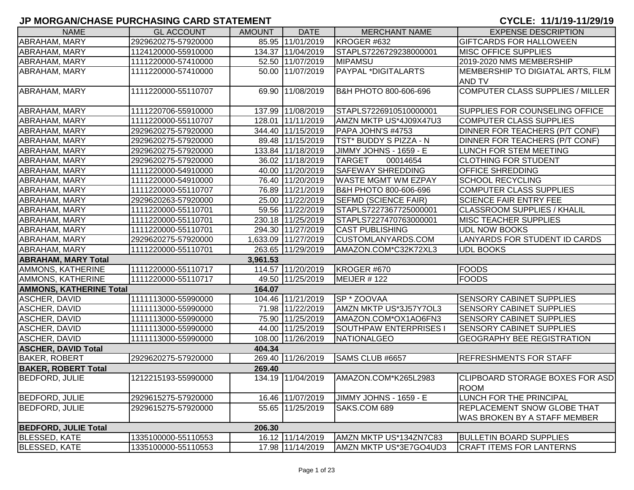| <b>NAME</b>                    | <b>GL ACCOUNT</b>   | <b>AMOUNT</b> | <b>DATE</b>         | <b>MERCHANT NAME</b>          | <b>EXPENSE DESCRIPTION</b>            |
|--------------------------------|---------------------|---------------|---------------------|-------------------------------|---------------------------------------|
| <b>ABRAHAM, MARY</b>           | 2929620275-57920000 |               | 85.95 11/01/2019    | KROGER #632                   | <b>GIFTCARDS FOR HALLOWEEN</b>        |
| <b>ABRAHAM, MARY</b>           | 1124120000-55910000 |               | 134.37 11/04/2019   | STAPLS7226729238000001        | <b>MISC OFFICE SUPPLIES</b>           |
| ABRAHAM, MARY                  | 1111220000-57410000 |               | 52.50 11/07/2019    | <b>MIPAMSU</b>                | 2019-2020 NMS MEMBERSHIP              |
| ABRAHAM, MARY                  | 1111220000-57410000 |               | 50.00 11/07/2019    | PAYPAL *DIGITALARTS           | MEMBERSHIP TO DIGIATAL ARTS, FILM     |
|                                |                     |               |                     |                               | <b>AND TV</b>                         |
| ABRAHAM, MARY                  | 1111220000-55110707 |               | 69.90 11/08/2019    | B&H PHOTO 800-606-696         | COMPUTER CLASS SUPPLIES / MILLER      |
| ABRAHAM, MARY                  | 1111220706-55910000 |               | 137.99 11/08/2019   | STAPLS7226910510000001        | SUPPLIES FOR COUNSELING OFFICE        |
| <b>ABRAHAM, MARY</b>           | 1111220000-55110707 |               | 128.01 11/11/2019   | AMZN MKTP US*4J09X47U3        | <b>COMPUTER CLASS SUPPLIES</b>        |
| <b>ABRAHAM, MARY</b>           | 2929620275-57920000 |               | 344.40 11/15/2019   | PAPA JOHN'S #4753             | <b>DINNER FOR TEACHERS (P/T CONF)</b> |
| <b>ABRAHAM, MARY</b>           | 2929620275-57920000 |               | 89.48 11/15/2019    | TST* BUDDY S PIZZA - N        | DINNER FOR TEACHERS (P/T CONF)        |
| ABRAHAM, MARY                  | 2929620275-57920000 |               | 133.84 11/18/2019   | JIMMY JOHNS - 1659 - E        | LUNCH FOR STEM MEETING                |
| ABRAHAM, MARY                  | 2929620275-57920000 |               | 36.02 11/18/2019    | <b>TARGET</b><br>00014654     | <b>CLOTHING FOR STUDENT</b>           |
| <b>ABRAHAM, MARY</b>           | 1111220000-54910000 |               | 40.00 11/20/2019    | <b>SAFEWAY SHREDDING</b>      | <b>OFFICE SHREDDING</b>               |
| ABRAHAM, MARY                  | 1111220000-54910000 |               | 76.40 11/20/2019    | <b>WASTE MGMT WM EZPAY</b>    | <b>SCHOOL RECYCLING</b>               |
| ABRAHAM, MARY                  | 1111220000-55110707 |               | 76.89 11/21/2019    | B&H PHOTO 800-606-696         | <b>COMPUTER CLASS SUPPLIES</b>        |
| ABRAHAM, MARY                  | 2929620263-57920000 |               | 25.00 11/22/2019    | <b>SEFMD (SCIENCE FAIR)</b>   | <b>SCIENCE FAIR ENTRY FEE</b>         |
| ABRAHAM, MARY                  | 1111220000-55110701 |               | 59.56 11/22/2019    | STAPLS7227367725000001        | <b>CLASSROOM SUPPLIES / KHALIL</b>    |
| <b>ABRAHAM, MARY</b>           | 1111220000-55110701 |               | 230.18 11/25/2019   | STAPLS7227470763000001        | <b>MISC TEACHER SUPPLIES</b>          |
| ABRAHAM, MARY                  | 1111220000-55110701 |               | 294.30 11/27/2019   | <b>CAST PUBLISHING</b>        | <b>UDL NOW BOOKS</b>                  |
| <b>ABRAHAM, MARY</b>           | 2929620275-57920000 |               | 1,633.09 11/27/2019 | <b>CUSTOMLANYARDS.COM</b>     | LANYARDS FOR STUDENT ID CARDS         |
| <b>ABRAHAM, MARY</b>           | 1111220000-55110701 |               | 263.65 11/29/2019   | AMAZON.COM*C32K72XL3          | <b>UDL BOOKS</b>                      |
| <b>ABRAHAM, MARY Total</b>     |                     | 3,961.53      |                     |                               |                                       |
| AMMONS, KATHERINE              | 1111220000-55110717 |               | 114.57 11/20/2019   | KROGER #670                   | <b>FOODS</b>                          |
| AMMONS, KATHERINE              | 1111220000-55110717 |               | 49.50 11/25/2019    | <b>MEIJER #122</b>            | <b>FOODS</b>                          |
| <b>AMMONS, KATHERINE Total</b> |                     | 164.07        |                     |                               |                                       |
| ASCHER, DAVID                  | 1111113000-55990000 |               | 104.46 11/21/2019   | SP * ZOOVAA                   | <b>SENSORY CABINET SUPPLIES</b>       |
| ASCHER, DAVID                  | 1111113000-55990000 |               | 71.98 11/22/2019    | AMZN MKTP US*3J57Y7OL3        | <b>SENSORY CABINET SUPPLIES</b>       |
| <b>ASCHER, DAVID</b>           | 1111113000-55990000 |               | 75.90 11/25/2019    | AMAZON.COM*OX1AO6FN3          | <b>SENSORY CABINET SUPPLIES</b>       |
| ASCHER, DAVID                  | 1111113000-55990000 |               | 44.00 11/25/2019    | <b>SOUTHPAW ENTERPRISES I</b> | <b>SENSORY CABINET SUPPLIES</b>       |
| <b>ASCHER, DAVID</b>           | 1111113000-55990000 |               | 108.00 11/26/2019   | NATIONALGEO                   | <b>GEOGRAPHY BEE REGISTRATION</b>     |
| <b>ASCHER, DAVID Total</b>     |                     | 404.34        |                     |                               |                                       |
| <b>BAKER, ROBERT</b>           | 2929620275-57920000 |               | 269.40 11/26/2019   | SAMS CLUB #6657               | <b>REFRESHMENTS FOR STAFF</b>         |
| <b>BAKER, ROBERT Total</b>     |                     | 269.40        |                     |                               |                                       |
| <b>BEDFORD, JULIE</b>          | 1212215193-55990000 |               | 134.19 11/04/2019   | AMAZON.COM*K265L2983          | CLIPBOARD STORAGE BOXES FOR ASD       |
|                                |                     |               |                     |                               | <b>ROOM</b>                           |
| <b>BEDFORD, JULIE</b>          | 2929615275-57920000 |               | 16.46 11/07/2019    | <b>JIMMY JOHNS - 1659 - E</b> | LUNCH FOR THE PRINCIPAL               |
| <b>BEDFORD, JULIE</b>          | 2929615275-57920000 |               | 55.65 11/25/2019    | SAKS.COM 689                  | <b>REPLACEMENT SNOW GLOBE THAT</b>    |
|                                |                     |               |                     |                               | <b>WAS BROKEN BY A STAFF MEMBER</b>   |
| <b>BEDFORD, JULIE Total</b>    |                     | 206.30        |                     |                               |                                       |
| <b>BLESSED, KATE</b>           | 1335100000-55110553 |               | 16.12 11/14/2019    | AMZN MKTP US*134ZN7C83        | <b>BULLETIN BOARD SUPPLIES</b>        |
| <b>BLESSED, KATE</b>           | 1335100000-55110553 |               | 17.98 11/14/2019    | AMZN MKTP US*3E7GO4UD3        | <b>CRAFT ITEMS FOR LANTERNS</b>       |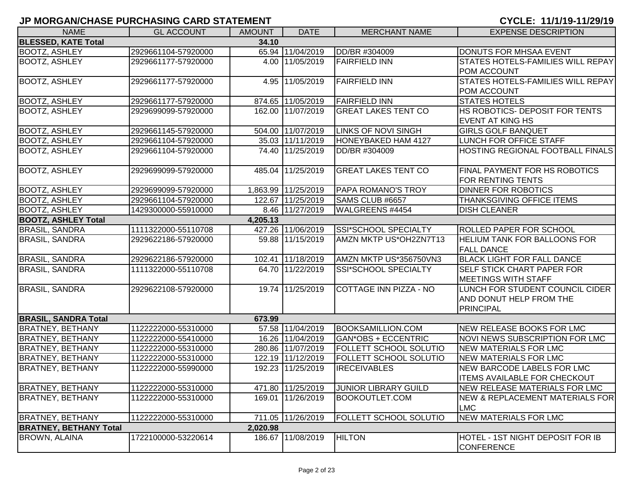| <b>NAME</b>                   | <b>GL ACCOUNT</b>   | <b>AMOUNT</b> | <b>DATE</b>         | <b>MERCHANT NAME</b>          | <b>EXPENSE DESCRIPTION</b>                               |
|-------------------------------|---------------------|---------------|---------------------|-------------------------------|----------------------------------------------------------|
| <b>BLESSED, KATE Total</b>    |                     | 34.10         |                     |                               |                                                          |
| <b>BOOTZ, ASHLEY</b>          | 2929661104-57920000 |               | 65.94 11/04/2019    | DD/BR #304009                 | <b>DONUTS FOR MHSAA EVENT</b>                            |
| <b>BOOTZ, ASHLEY</b>          | 2929661177-57920000 |               | 4.00 11/05/2019     | <b>FAIRFIELD INN</b>          | STATES HOTELS-FAMILIES WILL REPAY                        |
|                               |                     |               |                     |                               | <b>POM ACCOUNT</b>                                       |
| <b>BOOTZ, ASHLEY</b>          | 2929661177-57920000 |               | 4.95 11/05/2019     | <b>FAIRFIELD INN</b>          | <b>STATES HOTELS-FAMILIES WILL REPAY</b>                 |
|                               |                     |               |                     |                               | <b>POM ACCOUNT</b>                                       |
| <b>BOOTZ, ASHLEY</b>          | 2929661177-57920000 |               | 874.65 11/05/2019   | <b>FAIRFIELD INN</b>          | <b>STATES HOTELS</b>                                     |
| <b>BOOTZ, ASHLEY</b>          | 2929699099-57920000 |               | 162.00 11/07/2019   | <b>GREAT LAKES TENT CO</b>    | HS ROBOTICS- DEPOSIT FOR TENTS                           |
|                               |                     |               |                     |                               | <b>EVENT AT KING HS</b>                                  |
| <b>BOOTZ, ASHLEY</b>          | 2929661145-57920000 |               | 504.00 11/07/2019   | <b>LINKS OF NOVI SINGH</b>    | <b>GIRLS GOLF BANQUET</b>                                |
| <b>BOOTZ, ASHLEY</b>          | 2929661104-57920000 |               | 35.03 11/11/2019    | HONEYBAKED HAM 4127           | LUNCH FOR OFFICE STAFF                                   |
| <b>BOOTZ, ASHLEY</b>          | 2929661104-57920000 |               | 74.40 11/25/2019    | DD/BR #304009                 | <b>HOSTING REGIONAL FOOTBALL FINALS</b>                  |
| <b>BOOTZ, ASHLEY</b>          | 2929699099-57920000 |               | 485.04 11/25/2019   | <b>GREAT LAKES TENT CO</b>    | FINAL PAYMENT FOR HS ROBOTICS                            |
|                               |                     |               |                     |                               | <b>FOR RENTING TENTS</b>                                 |
| <b>BOOTZ, ASHLEY</b>          | 2929699099-57920000 |               | 1,863.99 11/25/2019 | PAPA ROMANO'S TROY            | <b>DINNER FOR ROBOTICS</b>                               |
| <b>BOOTZ, ASHLEY</b>          | 2929661104-57920000 |               | 122.67 11/25/2019   | SAMS CLUB #6657               | THANKSGIVING OFFICE ITEMS                                |
| <b>BOOTZ, ASHLEY</b>          | 1429300000-55910000 |               | 8.46 11/27/2019     | WALGREENS #4454               | <b>DISH CLEANER</b>                                      |
| <b>BOOTZ, ASHLEY Total</b>    |                     | 4,205.13      |                     |                               |                                                          |
| <b>BRASIL, SANDRA</b>         | 1111322000-55110708 |               | 427.26 11/06/2019   | SSI*SCHOOL SPECIALTY          | <b>ROLLED PAPER FOR SCHOOL</b>                           |
| <b>BRASIL, SANDRA</b>         | 2929622186-57920000 |               | 59.88 11/15/2019    | AMZN MKTP US*OH2ZN7T13        | <b>HELIUM TANK FOR BALLOONS FOR</b><br><b>FALL DANCE</b> |
| <b>BRASIL, SANDRA</b>         | 2929622186-57920000 |               | 102.41 11/18/2019   | AMZN MKTP US*356750VN3        | <b>BLACK LIGHT FOR FALL DANCE</b>                        |
| <b>BRASIL, SANDRA</b>         | 1111322000-55110708 |               | 64.70 11/22/2019    | <b>SSI*SCHOOL SPECIALTY</b>   | SELF STICK CHART PAPER FOR                               |
|                               |                     |               |                     |                               | <b>MEETINGS WITH STAFF</b>                               |
| <b>BRASIL, SANDRA</b>         | 2929622108-57920000 |               | 19.74 11/25/2019    | COTTAGE INN PIZZA - NO        | LUNCH FOR STUDENT COUNCIL CIDER                          |
|                               |                     |               |                     |                               | AND DONUT HELP FROM THE                                  |
|                               |                     |               |                     |                               | <b>PRINCIPAL</b>                                         |
| <b>BRASIL, SANDRA Total</b>   |                     | 673.99        |                     |                               |                                                          |
| <b>BRATNEY, BETHANY</b>       | 1122222000-55310000 |               | 57.58 11/04/2019    | BOOKSAMILLION.COM             | NEW RELEASE BOOKS FOR LMC                                |
| <b>BRATNEY, BETHANY</b>       | 1122222000-55410000 |               | 16.26 11/04/2019    | <b>GAN*OBS + ECCENTRIC</b>    | NOVI NEWS SUBSCRIPTION FOR LMC                           |
| <b>BRATNEY, BETHANY</b>       | 1122222000-55310000 |               | 280.86 11/07/2019   | <b>FOLLETT SCHOOL SOLUTIO</b> | NEW MATERIALS FOR LMC                                    |
| <b>BRATNEY, BETHANY</b>       | 1122222000-55310000 |               | 122.19 11/12/2019   | FOLLETT SCHOOL SOLUTIO        | NEW MATERIALS FOR LMC                                    |
| <b>BRATNEY, BETHANY</b>       | 1122222000-55990000 |               | 192.23 11/25/2019   | <b>IRECEIVABLES</b>           | <b>NEW BARCODE LABELS FOR LMC</b>                        |
|                               |                     |               |                     |                               | <b>ITEMS AVAILABLE FOR CHECKOUT</b>                      |
| BRATNEY, BETHANY              | 1122222000-55310000 |               | 471.80 11/25/2019   | <b>JUNIOR LIBRARY GUILD</b>   | NEW RELEASE MATERIALS FOR LMC                            |
| <b>BRATNEY, BETHANY</b>       | 1122222000-55310000 |               | 169.01 11/26/2019   | BOOKOUTLET.COM                | NEW & REPLACEMENT MATERIALS FOR                          |
|                               |                     |               |                     |                               | <b>LMC</b>                                               |
| <b>BRATNEY, BETHANY</b>       | 1122222000-55310000 |               | 711.05 11/26/2019   | <b>FOLLETT SCHOOL SOLUTIO</b> | NEW MATERIALS FOR LMC                                    |
| <b>BRATNEY, BETHANY Total</b> |                     | 2,020.98      |                     |                               |                                                          |
| <b>BROWN, ALAINA</b>          | 1722100000-53220614 |               | 186.67 11/08/2019   | <b>HILTON</b>                 | HOTEL - 1ST NIGHT DEPOSIT FOR IB<br><b>CONFERENCE</b>    |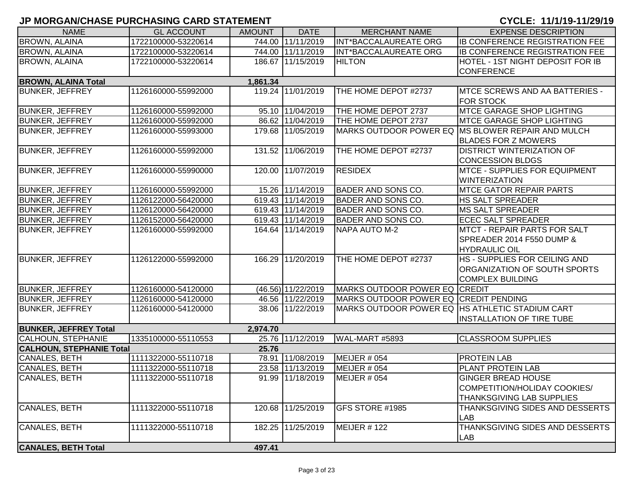| <b>NAME</b>                            | <b>GL ACCOUNT</b>   | <b>AMOUNT</b> | <b>DATE</b>        | <b>MERCHANT NAME</b>                            | <b>EXPENSE DESCRIPTION</b>                                                      |  |  |  |
|----------------------------------------|---------------------|---------------|--------------------|-------------------------------------------------|---------------------------------------------------------------------------------|--|--|--|
| <b>BROWN, ALAINA</b>                   | 1722100000-53220614 |               | 744.00 11/11/2019  | INT*BACCALAUREATE ORG                           | <b>IB CONFERENCE REGISTRATION FEE</b>                                           |  |  |  |
| <b>BROWN, ALAINA</b>                   | 1722100000-53220614 |               | 744.00 11/11/2019  | INT*BACCALAUREATE ORG                           | <b>IB CONFERENCE REGISTRATION FEE</b>                                           |  |  |  |
| <b>BROWN, ALAINA</b>                   | 1722100000-53220614 |               | 186.67 11/15/2019  | <b>HILTON</b>                                   | HOTEL - 1ST NIGHT DEPOSIT FOR IB                                                |  |  |  |
|                                        |                     |               |                    |                                                 | <b>CONFERENCE</b>                                                               |  |  |  |
| <b>BROWN, ALAINA Total</b><br>1,861.34 |                     |               |                    |                                                 |                                                                                 |  |  |  |
| <b>BUNKER, JEFFREY</b>                 | 1126160000-55992000 |               | 119.24 11/01/2019  | THE HOME DEPOT #2737                            | <b>IMTCE SCREWS AND AA BATTERIES -</b>                                          |  |  |  |
|                                        |                     |               |                    |                                                 | <b>FOR STOCK</b>                                                                |  |  |  |
| <b>BUNKER, JEFFREY</b>                 | 1126160000-55992000 |               | 95.10 11/04/2019   | THE HOME DEPOT 2737                             | <b>MTCE GARAGE SHOP LIGHTING</b>                                                |  |  |  |
| <b>BUNKER, JEFFREY</b>                 | 1126160000-55992000 |               | 86.62 11/04/2019   | THE HOME DEPOT 2737                             | <b>MTCE GARAGE SHOP LIGHTING</b>                                                |  |  |  |
| <b>BUNKER, JEFFREY</b>                 | 1126160000-55993000 |               | 179.68 11/05/2019  |                                                 | MARKS OUTDOOR POWER EQ MS BLOWER REPAIR AND MULCH<br><b>BLADES FOR Z MOWERS</b> |  |  |  |
| <b>BUNKER, JEFFREY</b>                 | 1126160000-55992000 |               | 131.52 11/06/2019  | THE HOME DEPOT #2737                            | <b>DISTRICT WINTERIZATION OF</b>                                                |  |  |  |
|                                        |                     |               | 120.00 11/07/2019  | <b>RESIDEX</b>                                  | <b>CONCESSION BLDGS</b><br><b>MTCE - SUPPLIES FOR EQUIPMENT</b>                 |  |  |  |
| <b>BUNKER, JEFFREY</b>                 | 1126160000-55990000 |               |                    |                                                 |                                                                                 |  |  |  |
| <b>BUNKER, JEFFREY</b>                 | 1126160000-55992000 |               | 15.26 11/14/2019   | <b>BADER AND SONS CO.</b>                       | <b>WINTERIZATION</b><br><b>MTCE GATOR REPAIR PARTS</b>                          |  |  |  |
| <b>BUNKER, JEFFREY</b>                 | 1126122000-56420000 |               | 619.43 11/14/2019  | <b>BADER AND SONS CO.</b>                       | <b>HS SALT SPREADER</b>                                                         |  |  |  |
| <b>BUNKER, JEFFREY</b>                 | 1126120000-56420000 |               | 619.43 11/14/2019  | <b>BADER AND SONS CO.</b>                       | <b>MS SALT SPREADER</b>                                                         |  |  |  |
| <b>BUNKER, JEFFREY</b>                 | 1126152000-56420000 |               | 619.43 11/14/2019  | <b>BADER AND SONS CO.</b>                       | <b>ECEC SALT SPREADER</b>                                                       |  |  |  |
| <b>BUNKER, JEFFREY</b>                 | 1126160000-55992000 |               | 164.64 11/14/2019  | NAPA AUTO M-2                                   | <b>IMTCT - REPAIR PARTS FOR SALT</b>                                            |  |  |  |
|                                        |                     |               |                    |                                                 | SPREADER 2014 F550 DUMP &                                                       |  |  |  |
|                                        |                     |               |                    |                                                 | <b>HYDRAULIC OIL</b>                                                            |  |  |  |
| <b>BUNKER, JEFFREY</b>                 | 1126122000-55992000 |               | 166.29 11/20/2019  | THE HOME DEPOT #2737                            | <b>HS - SUPPLIES FOR CEILING AND</b>                                            |  |  |  |
|                                        |                     |               |                    |                                                 | ORGANIZATION OF SOUTH SPORTS                                                    |  |  |  |
|                                        |                     |               |                    |                                                 | <b>COMPLEX BUILDING</b>                                                         |  |  |  |
| <b>BUNKER, JEFFREY</b>                 | 1126160000-54120000 |               | (46.56) 11/22/2019 | MARKS OUTDOOR POWER EQ CREDIT                   |                                                                                 |  |  |  |
| <b>BUNKER, JEFFREY</b>                 | 1126160000-54120000 |               | 46.56 11/22/2019   | MARKS OUTDOOR POWER EQ CREDIT PENDING           |                                                                                 |  |  |  |
| <b>BUNKER, JEFFREY</b>                 | 1126160000-54120000 |               | 38.06 11/22/2019   | MARKS OUTDOOR POWER EQ HS ATHLETIC STADIUM CART |                                                                                 |  |  |  |
|                                        |                     |               |                    |                                                 | <b>INSTALLATION OF TIRE TUBE</b>                                                |  |  |  |
| <b>BUNKER, JEFFREY Total</b>           |                     | 2,974.70      |                    |                                                 |                                                                                 |  |  |  |
| <b>CALHOUN, STEPHANIE</b>              | 1335100000-55110553 |               | 25.76 11/12/2019   | WAL-MART #5893                                  | <b>CLASSROOM SUPPLIES</b>                                                       |  |  |  |
| <b>CALHOUN, STEPHANIE Total</b>        |                     | 25.76         |                    |                                                 |                                                                                 |  |  |  |
| CANALES, BETH                          | 1111322000-55110718 |               | 78.91 11/08/2019   | MEIJER # 054                                    | <b>PROTEIN LAB</b>                                                              |  |  |  |
| CANALES, BETH                          | 1111322000-55110718 |               | 23.58 11/13/2019   | <b>MEIJER # 054</b>                             | PLANT PROTEIN LAB                                                               |  |  |  |
| CANALES, BETH                          | 1111322000-55110718 |               | 91.99 11/18/2019   | MEIJER # 054                                    | <b>GINGER BREAD HOUSE</b>                                                       |  |  |  |
|                                        |                     |               |                    |                                                 | COMPETITION/HOLIDAY COOKIES/                                                    |  |  |  |
|                                        |                     |               |                    |                                                 | <b>THANKSGIVING LAB SUPPLIES</b>                                                |  |  |  |
| CANALES, BETH                          | 1111322000-55110718 |               | 120.68 11/25/2019  | GFS STORE #1985                                 | THANKSGIVING SIDES AND DESSERTS                                                 |  |  |  |
|                                        |                     |               |                    |                                                 | <b>LAB</b>                                                                      |  |  |  |
| CANALES, BETH                          | 1111322000-55110718 |               | 182.25 11/25/2019  | MEIJER #122                                     | THANKSGIVING SIDES AND DESSERTS                                                 |  |  |  |
|                                        |                     |               |                    |                                                 | <b>LAB</b>                                                                      |  |  |  |
| <b>CANALES, BETH Total</b>             |                     | 497.41        |                    |                                                 |                                                                                 |  |  |  |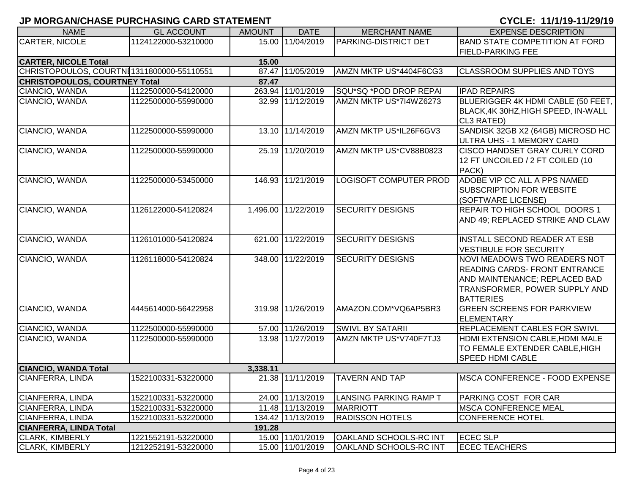| <b>NAME</b>                                   | <b>GL ACCOUNT</b>   | <b>AMOUNT</b> | <b>DATE</b>         | <b>MERCHANT NAME</b>          | <b>EXPENSE DESCRIPTION</b>                                                                                                                                        |  |  |  |  |
|-----------------------------------------------|---------------------|---------------|---------------------|-------------------------------|-------------------------------------------------------------------------------------------------------------------------------------------------------------------|--|--|--|--|
| CARTER, NICOLE                                | 1124122000-53210000 |               | 15.00 11/04/2019    | <b>PARKING-DISTRICT DET</b>   | <b>BAND STATE COMPETITION AT FORD</b>                                                                                                                             |  |  |  |  |
|                                               |                     |               |                     |                               | <b>FIELD-PARKING FEE</b>                                                                                                                                          |  |  |  |  |
| <b>CARTER, NICOLE Total</b>                   |                     | 15.00         |                     |                               |                                                                                                                                                                   |  |  |  |  |
| CHRISTOPOULOS, COURTNI1311800000-55110551     |                     |               | 87.47 11/05/2019    | AMZN MKTP US*4404F6CG3        | <b>CLASSROOM SUPPLIES AND TOYS</b>                                                                                                                                |  |  |  |  |
| <b>CHRISTOPOULOS, COURTNEY Total</b><br>87.47 |                     |               |                     |                               |                                                                                                                                                                   |  |  |  |  |
| CIANCIO, WANDA                                | 1122500000-54120000 |               | 263.94 11/01/2019   | SQU*SQ *POD DROP REPAI        | <b>IPAD REPAIRS</b>                                                                                                                                               |  |  |  |  |
| CIANCIO, WANDA                                | 1122500000-55990000 |               | 32.99 11/12/2019    | AMZN MKTP US*7I4WZ6273        | BLUERIGGER 4K HDMI CABLE (50 FEET,<br>BLACK, 4K 30HZ, HIGH SPEED, IN-WALL<br>CL3 RATED)                                                                           |  |  |  |  |
| CIANCIO, WANDA                                | 1122500000-55990000 |               | 13.10 11/14/2019    | AMZN MKTP US*IL26F6GV3        | SANDISK 32GB X2 (64GB) MICROSD HC<br>ULTRA UHS - 1 MEMORY CARD                                                                                                    |  |  |  |  |
| CIANCIO, WANDA                                | 1122500000-55990000 |               | 25.19 11/20/2019    | AMZN MKTP US*CV88B0823        | <b>CISCO HANDSET GRAY CURLY CORD</b><br>12 FT UNCOILED / 2 FT COILED (10<br>PACK)                                                                                 |  |  |  |  |
| CIANCIO, WANDA                                | 1122500000-53450000 |               | 146.93 11/21/2019   | <b>LOGISOFT COMPUTER PROD</b> | ADOBE VIP CC ALL A PPS NAMED<br><b>SUBSCRIPTION FOR WEBSITE</b><br>(SOFTWARE LICENSE)                                                                             |  |  |  |  |
| CIANCIO, WANDA                                | 1126122000-54120824 |               | 1,496.00 11/22/2019 | <b>SECURITY DESIGNS</b>       | <b>REPAIR TO HIGH SCHOOL DOORS 1</b><br>AND 49; REPLACED STRIKE AND CLAW                                                                                          |  |  |  |  |
| CIANCIO, WANDA                                | 1126101000-54120824 |               | 621.00 11/22/2019   | <b>SECURITY DESIGNS</b>       | <b>INSTALL SECOND READER AT ESB</b><br><b>VESTIBULE FOR SECURITY</b>                                                                                              |  |  |  |  |
| CIANCIO, WANDA                                | 1126118000-54120824 |               | 348.00 11/22/2019   | <b>SECURITY DESIGNS</b>       | <b>NOVI MEADOWS TWO READERS NOT</b><br><b>READING CARDS- FRONT ENTRANCE</b><br>AND MAINTENANCE; REPLACED BAD<br>TRANSFORMER, POWER SUPPLY AND<br><b>BATTERIES</b> |  |  |  |  |
| CIANCIO, WANDA                                | 4445614000-56422958 |               | 319.98 11/26/2019   | AMAZON.COM*VQ6AP5BR3          | <b>GREEN SCREENS FOR PARKVIEW</b><br><b>ELEMENTARY</b>                                                                                                            |  |  |  |  |
| CIANCIO, WANDA                                | 1122500000-55990000 |               | 57.00 11/26/2019    | <b>SWIVL BY SATARII</b>       | <b>REPLACEMENT CABLES FOR SWIVL</b>                                                                                                                               |  |  |  |  |
| CIANCIO, WANDA                                | 1122500000-55990000 |               | 13.98 11/27/2019    | AMZN MKTP US*V740F7TJ3        | HDMI EXTENSION CABLE, HDMI MALE<br>TO FEMALE EXTENDER CABLE, HIGH<br><b>SPEED HDMI CABLE</b>                                                                      |  |  |  |  |
| <b>CIANCIO, WANDA Total</b>                   |                     | 3,338.11      |                     |                               |                                                                                                                                                                   |  |  |  |  |
| CIANFERRA, LINDA                              | 1522100331-53220000 |               | 21.38 11/11/2019    | <b>TAVERN AND TAP</b>         | <b>IMSCA CONFERENCE - FOOD EXPENSE</b>                                                                                                                            |  |  |  |  |
| CIANFERRA, LINDA                              | 1522100331-53220000 |               | 24.00 11/13/2019    | <b>LANSING PARKING RAMP T</b> | PARKING COST FOR CAR                                                                                                                                              |  |  |  |  |
| CIANFERRA, LINDA                              | 1522100331-53220000 |               | 11.48 11/13/2019    | <b>MARRIOTT</b>               | <b>MSCA CONFERENCE MEAL</b>                                                                                                                                       |  |  |  |  |
| CIANFERRA, LINDA                              | 1522100331-53220000 |               | 134.42 11/13/2019   | <b>RADISSON HOTELS</b>        | <b>CONFERENCE HOTEL</b>                                                                                                                                           |  |  |  |  |
| <b>CIANFERRA, LINDA Total</b>                 |                     | 191.28        |                     |                               |                                                                                                                                                                   |  |  |  |  |
| <b>CLARK, KIMBERLY</b>                        | 1221552191-53220000 |               | 15.00 11/01/2019    | OAKLAND SCHOOLS-RC INT        | <b>ECEC SLP</b>                                                                                                                                                   |  |  |  |  |
| <b>CLARK, KIMBERLY</b>                        | 1212252191-53220000 |               | 15.00 11/01/2019    | <b>OAKLAND SCHOOLS-RC INT</b> | <b>ECEC TEACHERS</b>                                                                                                                                              |  |  |  |  |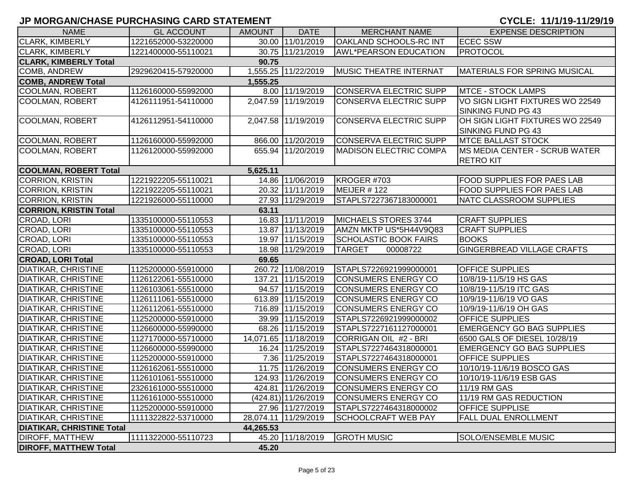| <b>NAME</b>                           | <b>GL ACCOUNT</b>   | <b>AMOUNT</b> | <b>DATE</b>                      | <b>MERCHANT NAME</b>          | <b>EXPENSE DESCRIPTION</b>                                |  |  |  |  |
|---------------------------------------|---------------------|---------------|----------------------------------|-------------------------------|-----------------------------------------------------------|--|--|--|--|
| <b>CLARK, KIMBERLY</b>                | 1221652000-53220000 |               | 30.00 11/01/2019                 | <b>OAKLAND SCHOOLS-RC INT</b> | <b>ECEC SSW</b>                                           |  |  |  |  |
| <b>CLARK, KIMBERLY</b>                | 1221400000-55110021 |               | 30.75 11/21/2019                 | <b>AWL*PEARSON EDUCATION</b>  | <b>PROTOCOL</b>                                           |  |  |  |  |
| <b>CLARK, KIMBERLY Total</b>          |                     | 90.75         |                                  |                               |                                                           |  |  |  |  |
| <b>COMB, ANDREW</b>                   | 2929620415-57920000 |               | 1,555.25 11/22/2019              | MUSIC THEATRE INTERNAT        | <b>IMATERIALS FOR SPRING MUSICAL</b>                      |  |  |  |  |
| <b>COMB, ANDREW Total</b><br>1,555.25 |                     |               |                                  |                               |                                                           |  |  |  |  |
| <b>COOLMAN, ROBERT</b>                | 1126160000-55992000 |               | 8.00 11/19/2019                  | CONSERVA ELECTRIC SUPP        | <b>MTCE - STOCK LAMPS</b>                                 |  |  |  |  |
| <b>COOLMAN, ROBERT</b>                | 4126111951-54110000 |               | 2,047.59 11/19/2019              | <b>CONSERVA ELECTRIC SUPP</b> | VO SIGN LIGHT FIXTURES WO 22549<br>SINKING FUND PG 43     |  |  |  |  |
| <b>COOLMAN, ROBERT</b>                | 4126112951-54110000 |               | 2,047.58 11/19/2019              | <b>CONSERVA ELECTRIC SUPP</b> | OH SIGN LIGHT FIXTURES WO 22549<br>SINKING FUND PG 43     |  |  |  |  |
| <b>COOLMAN, ROBERT</b>                | 1126160000-55992000 |               | 866.00 11/20/2019                | <b>CONSERVA ELECTRIC SUPP</b> | <b>MTCE BALLAST STOCK</b>                                 |  |  |  |  |
| <b>COOLMAN, ROBERT</b>                | 1126120000-55992000 |               | 655.94 11/20/2019                | <b>MADISON ELECTRIC COMPA</b> | <b>IMS MEDIA CENTER - SCRUB WATER</b><br><b>RETRO KIT</b> |  |  |  |  |
| <b>COOLMAN, ROBERT Total</b>          |                     | 5,625.11      |                                  |                               |                                                           |  |  |  |  |
| <b>CORRION, KRISTIN</b>               | 1221922205-55110021 |               | 14.86 11/06/2019                 | KROGER #703                   | <b>FOOD SUPPLIES FOR PAES LAB</b>                         |  |  |  |  |
| <b>CORRION, KRISTIN</b>               | 1221922205-55110021 |               | 20.32 11/11/2019                 | MEIJER #122                   | <b>FOOD SUPPLIES FOR PAES LAB</b>                         |  |  |  |  |
| <b>CORRION, KRISTIN</b>               | 1221926000-55110000 |               | 27.93 11/29/2019                 | STAPLS7227367183000001        | NATC CLASSROOM SUPPLIES                                   |  |  |  |  |
| <b>CORRION, KRISTIN Total</b>         |                     | 63.11         |                                  |                               |                                                           |  |  |  |  |
| CROAD, LORI                           | 1335100000-55110553 |               | 16.83 11/11/2019                 | MICHAELS STORES 3744          | <b>CRAFT SUPPLIES</b>                                     |  |  |  |  |
| CROAD, LORI                           | 1335100000-55110553 |               | 13.87 11/13/2019                 | AMZN MKTP US*5H44V9Q83        | <b>CRAFT SUPPLIES</b>                                     |  |  |  |  |
| CROAD, LORI                           | 1335100000-55110553 |               | 19.97 11/15/2019                 | <b>SCHOLASTIC BOOK FAIRS</b>  | <b>BOOKS</b>                                              |  |  |  |  |
| CROAD, LORI                           | 1335100000-55110553 |               | 18.98 11/29/2019                 | <b>TARGET</b><br>00008722     | <b>GINGERBREAD VILLAGE CRAFTS</b>                         |  |  |  |  |
| <b>CROAD, LORI Total</b>              |                     | 69.65         |                                  |                               |                                                           |  |  |  |  |
| <b>DIATIKAR, CHRISTINE</b>            | 1125200000-55910000 |               | 260.72 11/08/2019                | STAPLS7226921999000001        | <b>OFFICE SUPPLIES</b>                                    |  |  |  |  |
| <b>DIATIKAR, CHRISTINE</b>            | 1126122061-55510000 |               | 137.21 11/15/2019                | <b>CONSUMERS ENERGY CO</b>    | 10/8/19-11/5/19 HS GAS                                    |  |  |  |  |
| <b>DIATIKAR, CHRISTINE</b>            | 1126103061-55510000 |               | 94.57 11/15/2019                 | <b>CONSUMERS ENERGY CO</b>    | 10/8/19-11/5/19 ITC GAS                                   |  |  |  |  |
| <b>DIATIKAR, CHRISTINE</b>            | 1126111061-55510000 |               | 613.89 11/15/2019                | <b>CONSUMERS ENERGY CO</b>    | 10/9/19-11/6/19 VO GAS                                    |  |  |  |  |
| <b>DIATIKAR, CHRISTINE</b>            | 1126112061-55510000 |               | 716.89 11/15/2019                | <b>CONSUMERS ENERGY CO</b>    | 10/9/19-11/6/19 OH GAS                                    |  |  |  |  |
| <b>DIATIKAR, CHRISTINE</b>            | 1125200000-55910000 |               | 39.99 11/15/2019                 | STAPLS7226921999000002        | <b>OFFICE SUPPLIES</b>                                    |  |  |  |  |
| <b>DIATIKAR, CHRISTINE</b>            | 1126600000-55990000 |               | 68.26 11/15/2019                 | STAPLS7227161127000001        | <b>EMERGENCY GO BAG SUPPLIES</b>                          |  |  |  |  |
| <b>DIATIKAR, CHRISTINE</b>            | 1127170000-55710000 |               | 14,071.65 11/18/2019             | CORRIGAN OIL #2 - BRI         | 6500 GALS OF DIESEL 10/28/19                              |  |  |  |  |
| <b>DIATIKAR, CHRISTINE</b>            | 1126600000-55990000 |               | 16.24 11/25/2019                 | STAPLS7227464318000001        | <b>EMERGENCY GO BAG SUPPLIES</b>                          |  |  |  |  |
| <b>DIATIKAR, CHRISTINE</b>            | 1125200000-55910000 |               | 7.36 11/25/2019                  | STAPLS7227464318000001        | <b>OFFICE SUPPLIES</b>                                    |  |  |  |  |
| <b>DIATIKAR, CHRISTINE</b>            | 1126162061-55510000 |               | 11.75 11/26/2019                 | <b>CONSUMERS ENERGY CO</b>    | 10/10/19-11/6/19 BOSCO GAS                                |  |  |  |  |
| <b>DIATIKAR, CHRISTINE</b>            | 1126101061-55510000 |               | 124.93 11/26/2019                | <b>CONSUMERS ENERGY CO</b>    | 10/10/19-11/6/19 ESB GAS                                  |  |  |  |  |
| <b>DIATIKAR, CHRISTINE</b>            | 2326161000-55510000 |               | 424.81 11/26/2019                | <b>CONSUMERS ENERGY CO</b>    | 11/19 RM GAS                                              |  |  |  |  |
| <b>DIATIKAR, CHRISTINE</b>            | 1126161000-55510000 |               | $\overline{(424.81)}$ 11/26/2019 | <b>CONSUMERS ENERGY CO</b>    | 11/19 RM GAS REDUCTION                                    |  |  |  |  |
| <b>DIATIKAR, CHRISTINE</b>            | 1125200000-55910000 |               | 27.96 11/27/2019                 | STAPLS7227464318000002        | <b>OFFICE SUPPLISE</b>                                    |  |  |  |  |
| <b>DIATIKAR, CHRISTINE</b>            | 1111322822-53710000 |               | 28,074.11 11/29/2019             | <b>SCHOOLCRAFT WEB PAY</b>    | <b>FALL DUAL ENROLLMENT</b>                               |  |  |  |  |
| <b>DIATIKAR, CHRISTINE Total</b>      |                     | 44,265.53     |                                  |                               |                                                           |  |  |  |  |
| <b>DIROFF, MATTHEW</b>                | 1111322000-55110723 |               | 45.20 11/18/2019                 | <b>GROTH MUSIC</b>            | SOLO/ENSEMBLE MUSIC                                       |  |  |  |  |
| <b>DIROFF, MATTHEW Total</b>          |                     | 45.20         |                                  |                               |                                                           |  |  |  |  |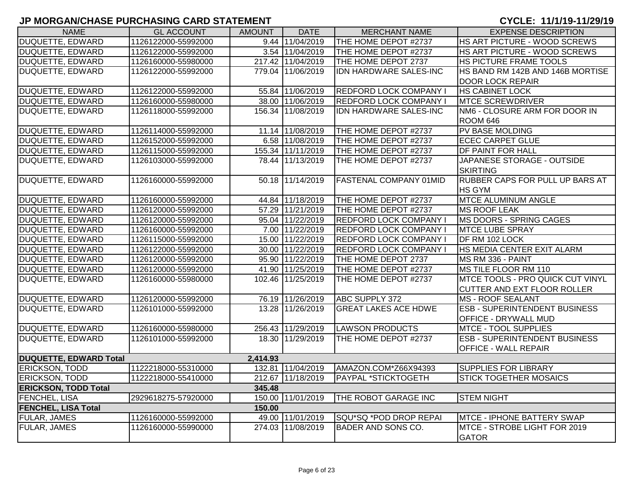| <b>NAME</b>                   | <b>GL ACCOUNT</b>   | <b>AMOUNT</b> | <b>DATE</b>       | <b>MERCHANT NAME</b>          | <b>EXPENSE DESCRIPTION</b>           |
|-------------------------------|---------------------|---------------|-------------------|-------------------------------|--------------------------------------|
| <b>DUQUETTE, EDWARD</b>       | 1126122000-55992000 |               | 9.44 11/04/2019   | THE HOME DEPOT #2737          | HS ART PICTURE - WOOD SCREWS         |
| DUQUETTE, EDWARD              | 1126122000-55992000 |               | 3.54 11/04/2019   | THE HOME DEPOT #2737          | HS ART PICTURE - WOOD SCREWS         |
| DUQUETTE, EDWARD              | 1126160000-55980000 |               | 217.42 11/04/2019 | THE HOME DEPOT 2737           | HS PICTURE FRAME TOOLS               |
| DUQUETTE, EDWARD              | 1126122000-55992000 |               | 779.04 11/06/2019 | IDN HARDWARE SALES-INC        | HS BAND RM 142B AND 146B MORTISE     |
|                               |                     |               |                   |                               | <b>DOOR LOCK REPAIR</b>              |
| <b>DUQUETTE, EDWARD</b>       | 1126122000-55992000 |               | 55.84 11/06/2019  | <b>REDFORD LOCK COMPANY I</b> | <b>HS CABINET LOCK</b>               |
| DUQUETTE, EDWARD              | 1126160000-55980000 |               | 38.00 11/06/2019  | <b>REDFORD LOCK COMPANY I</b> | <b>MTCE SCREWDRIVER</b>              |
| DUQUETTE, EDWARD              | 1126118000-55992000 |               | 156.34 11/08/2019 | IDN HARDWARE SALES-INC        | NM6 - CLOSURE ARM FOR DOOR IN        |
|                               |                     |               |                   |                               | ROOM 646                             |
| <b>DUQUETTE, EDWARD</b>       | 1126114000-55992000 |               | 11.14 11/08/2019  | THE HOME DEPOT #2737          | <b>PV BASE MOLDING</b>               |
| <b>DUQUETTE, EDWARD</b>       | 1126152000-55992000 |               | 6.58 11/08/2019   | THE HOME DEPOT #2737          | <b>ECEC CARPET GLUE</b>              |
| <b>DUQUETTE, EDWARD</b>       | 1126115000-55992000 |               | 155.34 11/11/2019 | THE HOME DEPOT #2737          | DF PAINT FOR HALL                    |
| <b>DUQUETTE, EDWARD</b>       | 1126103000-55992000 |               | 78.44 11/13/2019  | THE HOME DEPOT #2737          | JAPANESE STORAGE - OUTSIDE           |
|                               |                     |               |                   |                               | <b>SKIRTING</b>                      |
| <b>DUQUETTE, EDWARD</b>       | 1126160000-55992000 |               | 50.18 11/14/2019  | <b>FASTENAL COMPANY 01MID</b> | RUBBER CAPS FOR PULL UP BARS AT      |
|                               |                     |               |                   |                               | <b>HS GYM</b>                        |
| <b>DUQUETTE, EDWARD</b>       | 1126160000-55992000 |               | 44.84 11/18/2019  | THE HOME DEPOT #2737          | <b>MTCE ALUMINUM ANGLE</b>           |
| <b>DUQUETTE, EDWARD</b>       | 1126120000-55992000 |               | 57.29 11/21/2019  | THE HOME DEPOT #2737          | <b>MS ROOF LEAK</b>                  |
| <b>DUQUETTE, EDWARD</b>       | 1126120000-55992000 |               | 95.04 11/22/2019  | <b>REDFORD LOCK COMPANY I</b> | MS DOORS - SPRING CAGES              |
| DUQUETTE, EDWARD              | 1126160000-55992000 |               | 7.00 11/22/2019   | <b>REDFORD LOCK COMPANY I</b> | <b>MTCE LUBE SPRAY</b>               |
| <b>DUQUETTE, EDWARD</b>       | 1126115000-55992000 |               | 15.00 11/22/2019  | <b>REDFORD LOCK COMPANY I</b> | DF RM 102 LOCK                       |
| DUQUETTE, EDWARD              | 1126122000-55992000 |               | 30.00 11/22/2019  | <b>REDFORD LOCK COMPANY I</b> | HS MEDIA CENTER EXIT ALARM           |
| DUQUETTE, EDWARD              | 1126120000-55992000 |               | 95.90 11/22/2019  | THE HOME DEPOT 2737           | MS RM 336 - PAINT                    |
| <b>DUQUETTE, EDWARD</b>       | 1126120000-55992000 |               | 41.90 11/25/2019  | THE HOME DEPOT #2737          | MS TILE FLOOR RM 110                 |
| <b>DUQUETTE, EDWARD</b>       | 1126160000-55980000 |               | 102.46 11/25/2019 | THE HOME DEPOT #2737          | MTCE TOOLS - PRO QUICK CUT VINYL     |
|                               |                     |               |                   |                               | CUTTER AND EXT FLOOR ROLLER          |
| <b>DUQUETTE, EDWARD</b>       | 1126120000-55992000 |               | 76.19 11/26/2019  | <b>ABC SUPPLY 372</b>         | <b>MS - ROOF SEALANT</b>             |
| <b>DUQUETTE, EDWARD</b>       | 1126101000-55992000 |               | 13.28 11/26/2019  | <b>GREAT LAKES ACE HDWE</b>   | <b>ESB - SUPERINTENDENT BUSINESS</b> |
|                               |                     |               |                   |                               | OFFICE - DRYWALL MUD                 |
| DUQUETTE, EDWARD              | 1126160000-55980000 |               | 256.43 11/29/2019 | <b>LAWSON PRODUCTS</b>        | <b>MTCE - TOOL SUPPLIES</b>          |
| DUQUETTE, EDWARD              | 1126101000-55992000 |               | 18.30 11/29/2019  | THE HOME DEPOT #2737          | <b>ESB - SUPERINTENDENT BUSINESS</b> |
|                               |                     |               |                   |                               | <b>OFFICE - WALL REPAIR</b>          |
| <b>DUQUETTE, EDWARD Total</b> |                     | 2,414.93      |                   |                               |                                      |
| ERICKSON, TODD                | 1122218000-55310000 |               | 132.81 11/04/2019 | AMAZON.COM*Z66X94393          | <b>SUPPLIES FOR LIBRARY</b>          |
| <b>ERICKSON, TODD</b>         | 1122218000-55410000 |               | 212.67 11/18/2019 | PAYPAL *STICKTOGETH           | <b>STICK TOGETHER MOSAICS</b>        |
| <b>ERICKSON, TODD Total</b>   |                     | 345.48        |                   |                               |                                      |
| FENCHEL, LISA                 | 2929618275-57920000 |               | 150.00 11/01/2019 | THE ROBOT GARAGE INC          | <b>STEM NIGHT</b>                    |
| <b>FENCHEL, LISA Total</b>    |                     | 150.00        |                   |                               |                                      |
| FULAR, JAMES                  | 1126160000-55992000 |               | 49.00 11/01/2019  | SQU*SQ *POD DROP REPAI        | MTCE - IPHONE BATTERY SWAP           |
| FULAR, JAMES                  | 1126160000-55990000 |               | 274.03 11/08/2019 | <b>BADER AND SONS CO.</b>     | MTCE - STROBE LIGHT FOR 2019         |
|                               |                     |               |                   |                               | <b>GATOR</b>                         |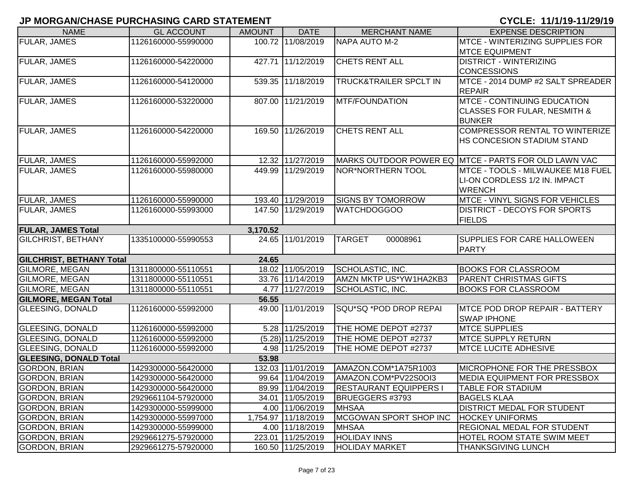| <b>NAME</b>                                              | <b>GL ACCOUNT</b>   | <b>AMOUNT</b> | <b>DATE</b>         | <b>MERCHANT NAME</b>              | <b>EXPENSE DESCRIPTION</b>                           |
|----------------------------------------------------------|---------------------|---------------|---------------------|-----------------------------------|------------------------------------------------------|
| <b>FULAR, JAMES</b>                                      | 1126160000-55990000 |               | 100.72 11/08/2019   | NAPA AUTO M-2                     | MTCE - WINTERIZING SUPPLIES FOR                      |
|                                                          |                     |               |                     |                                   | <b>MTCE EQUIPMENT</b>                                |
| <b>FULAR, JAMES</b>                                      | 1126160000-54220000 |               | 427.71 11/12/2019   | <b>CHETS RENT ALL</b>             | <b>DISTRICT - WINTERIZING</b>                        |
|                                                          |                     |               |                     |                                   | <b>CONCESSIONS</b>                                   |
| <b>FULAR, JAMES</b>                                      | 1126160000-54120000 |               | 539.35 11/18/2019   | <b>TRUCK&amp;TRAILER SPCLT IN</b> | MTCE - 2014 DUMP #2 SALT SPREADER                    |
|                                                          |                     |               |                     |                                   | <b>REPAIR</b>                                        |
| <b>FULAR, JAMES</b>                                      | 1126160000-53220000 |               | 807.00 11/21/2019   | <b>MTF/FOUNDATION</b>             | <b>MTCE - CONTINUING EDUCATION</b>                   |
|                                                          |                     |               |                     |                                   | CLASSES FOR FULAR, NESMITH &                         |
|                                                          |                     |               |                     |                                   | <b>BUNKER</b>                                        |
| <b>FULAR, JAMES</b>                                      | 1126160000-54220000 |               | 169.50 11/26/2019   | <b>CHETS RENT ALL</b>             | <b>COMPRESSOR RENTAL TO WINTERIZE</b>                |
|                                                          |                     |               |                     |                                   | HS CONCESION STADIUM STAND                           |
|                                                          |                     |               |                     |                                   |                                                      |
| <b>FULAR, JAMES</b>                                      | 1126160000-55992000 |               | 12.32 11/27/2019    |                                   | MARKS OUTDOOR POWER EQ MTCE - PARTS FOR OLD LAWN VAC |
| <b>FULAR, JAMES</b>                                      | 1126160000-55980000 |               | 449.99 11/29/2019   | NOR*NORTHERN TOOL                 | MTCE - TOOLS - MILWAUKEE M18 FUEL                    |
|                                                          |                     |               |                     |                                   | LI-ON CORDLESS 1/2 IN. IMPACT                        |
|                                                          |                     |               |                     |                                   | <b>WRENCH</b>                                        |
| <b>FULAR, JAMES</b>                                      | 1126160000-55990000 |               | 193.40 11/29/2019   | <b>SIGNS BY TOMORROW</b>          | <b>MTCE - VINYL SIGNS FOR VEHICLES</b>               |
| <b>FULAR, JAMES</b>                                      | 1126160000-55993000 |               | 147.50 11/29/2019   | <b>WATCHDOGGOO</b>                | <b>DISTRICT - DECOYS FOR SPORTS</b>                  |
|                                                          |                     |               |                     |                                   | <b>FIELDS</b>                                        |
| <b>FULAR, JAMES Total</b>                                |                     | 3,170.52      |                     |                                   |                                                      |
| <b>GILCHRIST, BETHANY</b>                                | 1335100000-55990553 |               | 24.65 11/01/2019    | 00008961<br><b>TARGET</b>         | SUPPLIES FOR CARE HALLOWEEN                          |
|                                                          |                     |               |                     |                                   | <b>PARTY</b>                                         |
| <b>GILCHRIST, BETHANY Total</b><br><b>GILMORE, MEGAN</b> | 1311800000-55110551 | 24.65         | 18.02 11/05/2019    | SCHOLASTIC, INC.                  | <b>BOOKS FOR CLASSROOM</b>                           |
| GILMORE, MEGAN                                           | 1311800000-55110551 |               | 33.76 11/14/2019    | AMZN MKTP US*YW1HA2KB3            | <b>PARENT CHRISTMAS GIFTS</b>                        |
| GILMORE, MEGAN                                           |                     |               | 4.77 11/27/2019     |                                   |                                                      |
|                                                          | 1311800000-55110551 | 56.55         |                     | SCHOLASTIC, INC.                  | <b>BOOKS FOR CLASSROOM</b>                           |
| <b>GILMORE, MEGAN Total</b><br><b>GLEESING, DONALD</b>   | 1126160000-55992000 |               | 49.00 11/01/2019    | SQU*SQ *POD DROP REPAI            | <b>MTCE POD DROP REPAIR - BATTERY</b>                |
|                                                          |                     |               |                     |                                   | <b>SWAP IPHONE</b>                                   |
| <b>GLEESING, DONALD</b>                                  | 1126160000-55992000 |               | 5.28 11/25/2019     | THE HOME DEPOT #2737              | <b>MTCE SUPPLIES</b>                                 |
| <b>GLEESING, DONALD</b>                                  | 1126160000-55992000 |               | $(5.28)$ 11/25/2019 | THE HOME DEPOT #2737              | <b>MTCE SUPPLY RETURN</b>                            |
| <b>GLEESING, DONALD</b>                                  | 1126160000-55992000 |               | 4.98 11/25/2019     | THE HOME DEPOT #2737              | <b>MTCE LUCITE ADHESIVE</b>                          |
| <b>GLEESING, DONALD Total</b>                            |                     | 53.98         |                     |                                   |                                                      |
| <b>GORDON, BRIAN</b>                                     | 1429300000-56420000 |               | 132.03 11/01/2019   | AMAZON.COM*1A75R1003              | MICROPHONE FOR THE PRESSBOX                          |
| <b>GORDON, BRIAN</b>                                     | 1429300000-56420000 |               | 99.64 11/04/2019    | AMAZON.COM*PV22S0OI3              | MEDIA EQUIPMENT FOR PRESSBOX                         |
| <b>GORDON, BRIAN</b>                                     | 1429300000-56420000 |               | 89.99 11/04/2019    | <b>RESTAURANT EQUIPPERS I</b>     | <b>TABLE FOR STADIUM</b>                             |
| <b>GORDON, BRIAN</b>                                     | 2929661104-57920000 |               | 34.01 11/05/2019    | BRUEGGERS #3793                   | <b>BAGELS KLAA</b>                                   |
| <b>GORDON, BRIAN</b>                                     | 1429300000-55999000 |               | 4.00 11/06/2019     | <b>MHSAA</b>                      | <b>DISTRICT MEDAL FOR STUDENT</b>                    |
| <b>GORDON, BRIAN</b>                                     | 1429300000-55997000 |               | 1,754.97 11/18/2019 | MCGOWAN SPORT SHOP INC            | <b>HOCKEY UNIFORMS</b>                               |
| <b>GORDON, BRIAN</b>                                     | 1429300000-55999000 |               | 4.00 11/18/2019     | <b>MHSAA</b>                      | <b>REGIONAL MEDAL FOR STUDENT</b>                    |
| <b>GORDON, BRIAN</b>                                     | 2929661275-57920000 |               | 223.01 11/25/2019   | <b>HOLIDAY INNS</b>               | <b>HOTEL ROOM STATE SWIM MEET</b>                    |
| <b>GORDON, BRIAN</b>                                     | 2929661275-57920000 |               | 160.50 11/25/2019   | <b>HOLIDAY MARKET</b>             | <b>THANKSGIVING LUNCH</b>                            |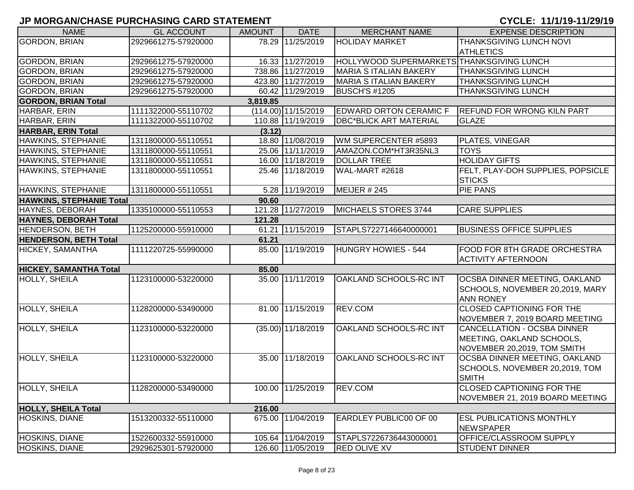| <b>NAME</b>                     | <b>GL ACCOUNT</b>   | <b>AMOUNT</b> | <b>DATE</b>          | <b>MERCHANT NAME</b>                      | <b>EXPENSE DESCRIPTION</b>        |
|---------------------------------|---------------------|---------------|----------------------|-------------------------------------------|-----------------------------------|
| GORDON, BRIAN                   | 2929661275-57920000 |               | 78.29 11/25/2019     | <b>HOLIDAY MARKET</b>                     | THANKSGIVING LUNCH NOVI           |
|                                 |                     |               |                      |                                           | <b>ATHLETICS</b>                  |
| <b>GORDON, BRIAN</b>            | 2929661275-57920000 |               | 16.33 11/27/2019     | HOLLYWOOD SUPERMARKETS THANKSGIVING LUNCH |                                   |
| <b>GORDON, BRIAN</b>            | 2929661275-57920000 |               | 738.86 11/27/2019    | <b>MARIA S ITALIAN BAKERY</b>             | <b>THANKSGIVING LUNCH</b>         |
| <b>GORDON, BRIAN</b>            | 2929661275-57920000 |               | 423.80 11/27/2019    | <b>MARIA S ITALIAN BAKERY</b>             | THANKSGIVING LUNCH                |
| <b>GORDON, BRIAN</b>            | 2929661275-57920000 |               | 60.42 11/29/2019     | <b>BUSCH'S #1205</b>                      | <b>THANKSGIVING LUNCH</b>         |
| <b>GORDON, BRIAN Total</b>      |                     | 3,819.85      |                      |                                           |                                   |
| HARBAR, ERIN                    | 1111322000-55110702 |               | (114.00) 11/15/2019  | <b>EDWARD ORTON CERAMIC F</b>             | <b>REFUND FOR WRONG KILN PART</b> |
| HARBAR, ERIN                    | 1111322000-55110702 |               | 110.88 11/19/2019    | <b>DBC*BLICK ART MATERIAL</b>             | <b>GLAZE</b>                      |
| <b>HARBAR, ERIN Total</b>       |                     | (3.12)        |                      |                                           |                                   |
| HAWKINS, STEPHANIE              | 1311800000-55110551 |               | 18.80 11/08/2019     | WM SUPERCENTER #5893                      | PLATES, VINEGAR                   |
| <b>HAWKINS, STEPHANIE</b>       | 1311800000-55110551 |               | 25.06 11/11/2019     | AMAZON.COM*HT3R35NL3                      | <b>TOYS</b>                       |
| <b>HAWKINS, STEPHANIE</b>       | 1311800000-55110551 |               | 16.00 11/18/2019     | <b>DOLLAR TREE</b>                        | <b>HOLIDAY GIFTS</b>              |
| HAWKINS, STEPHANIE              | 1311800000-55110551 |               | 25.46 11/18/2019     | WAL-MART #2618                            | FELT, PLAY-DOH SUPPLIES, POPSICLE |
|                                 |                     |               |                      |                                           | <b>STICKS</b>                     |
| HAWKINS, STEPHANIE              | 1311800000-55110551 |               | 5.28 11/19/2019      | <b>MEIJER # 245</b>                       | PIE PANS                          |
| <b>HAWKINS, STEPHANIE Total</b> |                     | 90.60         |                      |                                           |                                   |
| HAYNES, DEBORAH                 | 1335100000-55110553 |               | 121.28 11/27/2019    | MICHAELS STORES 3744                      | <b>CARE SUPPLIES</b>              |
| <b>HAYNES, DEBORAH Total</b>    |                     | 121.28        |                      |                                           |                                   |
| <b>HENDERSON, BETH</b>          | 1125200000-55910000 | 61.21         | 11/15/2019           | STAPLS7227146640000001                    | <b>BUSINESS OFFICE SUPPLIES</b>   |
| <b>HENDERSON, BETH Total</b>    |                     | 61.21         |                      |                                           |                                   |
| <b>HICKEY, SAMANTHA</b>         | 1111220725-55990000 |               | 85.00 11/19/2019     | HUNGRY HOWIES - 544                       | FOOD FOR 8TH GRADE ORCHESTRA      |
|                                 |                     |               |                      |                                           | <b>ACTIVITY AFTERNOON</b>         |
| <b>HICKEY, SAMANTHA Total</b>   |                     | 85.00         |                      |                                           |                                   |
| HOLLY, SHEILA                   | 1123100000-53220000 |               | 35.00 11/11/2019     | OAKLAND SCHOOLS-RC INT                    | OCSBA DINNER MEETING, OAKLAND     |
|                                 |                     |               |                      |                                           | SCHOOLS, NOVEMBER 20,2019, MARY   |
|                                 |                     |               |                      |                                           | <b>ANN RONEY</b>                  |
| HOLLY, SHEILA                   | 1128200000-53490000 |               | 81.00 11/15/2019     | REV.COM                                   | CLOSED CAPTIONING FOR THE         |
|                                 |                     |               |                      |                                           | NOVEMBER 7, 2019 BOARD MEETING    |
| HOLLY, SHEILA                   | 1123100000-53220000 |               | $(35.00)$ 11/18/2019 | OAKLAND SCHOOLS-RC INT                    | CANCELLATION - OCSBA DINNER       |
|                                 |                     |               |                      |                                           | MEETING, OAKLAND SCHOOLS,         |
|                                 |                     |               |                      |                                           | NOVEMBER 20,2019, TOM SMITH       |
| HOLLY, SHEILA                   | 1123100000-53220000 |               | 35.00 11/18/2019     | <b>OAKLAND SCHOOLS-RC INT</b>             | OCSBA DINNER MEETING, OAKLAND     |
|                                 |                     |               |                      |                                           | SCHOOLS, NOVEMBER 20,2019, TOM    |
|                                 |                     |               |                      |                                           | <b>SMITH</b>                      |
| HOLLY, SHEILA                   | 1128200000-53490000 |               | 100.00 11/25/2019    | REV.COM                                   | <b>CLOSED CAPTIONING FOR THE</b>  |
|                                 |                     |               |                      |                                           | NOVEMBER 21, 2019 BOARD MEETING   |
| <b>HOLLY, SHEILA Total</b>      |                     | 216.00        |                      |                                           |                                   |
| <b>HOSKINS, DIANE</b>           | 1513200332-55110000 |               | 675.00 11/04/2019    | EARDLEY PUBLIC00 OF 00                    | <b>ESL PUBLICATIONS MONTHLY</b>   |
|                                 |                     |               |                      |                                           | <b>NEWSPAPER</b>                  |
| <b>HOSKINS, DIANE</b>           | 1522600332-55910000 |               | 105.64 11/04/2019    | STAPLS7226736443000001                    | OFFICE/CLASSROOM SUPPLY           |
| <b>HOSKINS, DIANE</b>           | 2929625301-57920000 |               | 126.60 11/05/2019    | <b>RED OLIVE XV</b>                       | <b>STUDENT DINNER</b>             |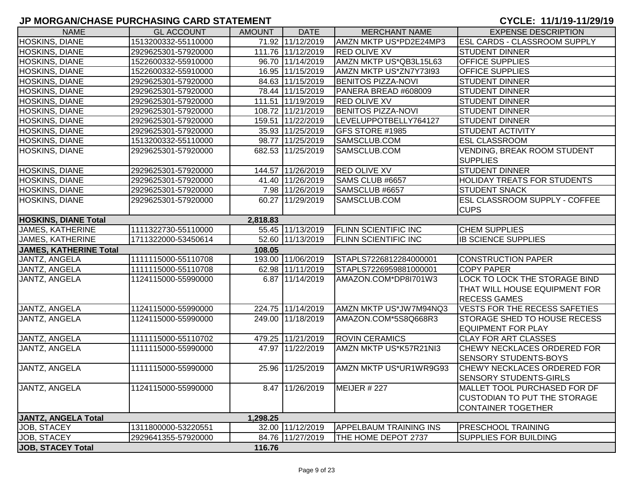| <b>NAME</b>                   | <b>GL ACCOUNT</b>   | <b>AMOUNT</b> | <b>DATE</b>       | <b>MERCHANT NAME</b>          | <b>EXPENSE DESCRIPTION</b>           |
|-------------------------------|---------------------|---------------|-------------------|-------------------------------|--------------------------------------|
| HOSKINS, DIANE                | 1513200332-55110000 |               | 71.92 11/12/2019  | AMZN MKTP US*PD2E24MP3        | <b>ESL CARDS - CLASSROOM SUPPLY</b>  |
| HOSKINS, DIANE                | 2929625301-57920000 |               | 111.76 11/12/2019 | <b>RED OLIVE XV</b>           | <b>STUDENT DINNER</b>                |
| HOSKINS, DIANE                | 1522600332-55910000 |               | 96.70 11/14/2019  | AMZN MKTP US*QB3L15L63        | <b>OFFICE SUPPLIES</b>               |
| <b>HOSKINS, DIANE</b>         | 1522600332-55910000 |               | 16.95 11/15/2019  | AMZN MKTP US*ZN7Y73I93        | <b>OFFICE SUPPLIES</b>               |
| HOSKINS, DIANE                | 2929625301-57920000 |               | 84.63 11/15/2019  | <b>BENITOS PIZZA-NOVI</b>     | <b>STUDENT DINNER</b>                |
| HOSKINS, DIANE                | 2929625301-57920000 |               | 78.44 11/15/2019  | PANERA BREAD #608009          | <b>STUDENT DINNER</b>                |
| HOSKINS, DIANE                | 2929625301-57920000 |               | 111.51 11/19/2019 | <b>RED OLIVE XV</b>           | <b>STUDENT DINNER</b>                |
| HOSKINS, DIANE                | 2929625301-57920000 |               | 108.72 11/21/2019 | <b>BENITOS PIZZA-NOVI</b>     | <b>STUDENT DINNER</b>                |
| HOSKINS, DIANE                | 2929625301-57920000 |               | 159.51 11/22/2019 | LEVELUPPOTBELLY764127         | <b>STUDENT DINNER</b>                |
| HOSKINS, DIANE                | 2929625301-57920000 |               | 35.93 11/25/2019  | <b>GFS STORE #1985</b>        | <b>STUDENT ACTIVITY</b>              |
| HOSKINS, DIANE                | 1513200332-55110000 |               | 98.77 11/25/2019  | SAMSCLUB.COM                  | <b>ESL CLASSROOM</b>                 |
| HOSKINS, DIANE                | 2929625301-57920000 |               | 682.53 11/25/2019 | SAMSCLUB.COM                  | <b>VENDING, BREAK ROOM STUDENT</b>   |
|                               |                     |               |                   |                               | <b>SUPPLIES</b>                      |
| HOSKINS, DIANE                | 2929625301-57920000 |               | 144.57 11/26/2019 | <b>RED OLIVE XV</b>           | <b>STUDENT DINNER</b>                |
| <b>HOSKINS, DIANE</b>         | 2929625301-57920000 |               | 41.40 11/26/2019  | SAMS CLUB #6657               | <b>HOLIDAY TREATS FOR STUDENTS</b>   |
| HOSKINS, DIANE                | 2929625301-57920000 |               | 7.98 11/26/2019   | SAMSCLUB #6657                | <b>STUDENT SNACK</b>                 |
| HOSKINS, DIANE                | 2929625301-57920000 |               | 60.27 11/29/2019  | SAMSCLUB.COM                  | <b>ESL CLASSROOM SUPPLY - COFFEE</b> |
|                               |                     |               |                   |                               | <b>CUPS</b>                          |
| <b>HOSKINS, DIANE Total</b>   |                     | 2,818.83      |                   |                               |                                      |
| <b>JAMES, KATHERINE</b>       | 1111322730-55110000 |               | 55.45 11/13/2019  | <b>FLINN SCIENTIFIC INC</b>   | <b>CHEM SUPPLIES</b>                 |
| <b>JAMES, KATHERINE</b>       | 1711322000-53450614 |               | 52.60 11/13/2019  | <b>FLINN SCIENTIFIC INC</b>   | <b>IB SCIENCE SUPPLIES</b>           |
| <b>JAMES, KATHERINE Total</b> |                     | 108.05        |                   |                               |                                      |
| JANTZ, ANGELA                 | 1111115000-55110708 |               | 193.00 11/06/2019 | STAPLS7226812284000001        | <b>CONSTRUCTION PAPER</b>            |
| JANTZ, ANGELA                 | 1111115000-55110708 |               | 62.98 11/11/2019  | STAPLS7226959881000001        | <b>COPY PAPER</b>                    |
| JANTZ, ANGELA                 | 1124115000-55990000 |               | 6.87 11/14/2019   | AMAZON.COM*DP8I701W3          | LOCK TO LOCK THE STORAGE BIND        |
|                               |                     |               |                   |                               | THAT WILL HOUSE EQUIPMENT FOR        |
|                               |                     |               |                   |                               | <b>RECESS GAMES</b>                  |
| JANTZ, ANGELA                 | 1124115000-55990000 |               | 224.75 11/14/2019 | AMZN MKTP US*JW7M94NQ3        | <b>VESTS FOR THE RECESS SAFETIES</b> |
| JANTZ, ANGELA                 | 1124115000-55990000 |               | 249.00 11/18/2019 | AMAZON.COM*5S8Q668R3          | <b>STORAGE SHED TO HOUSE RECESS</b>  |
|                               |                     |               |                   |                               | <b>EQUIPMENT FOR PLAY</b>            |
| JANTZ, ANGELA                 | 1111115000-55110702 |               | 479.25 11/21/2019 | <b>ROVIN CERAMICS</b>         | <b>CLAY FOR ART CLASSES</b>          |
| JANTZ, ANGELA                 | 1111115000-55990000 |               | 47.97 11/22/2019  | AMZN MKTP US*K57R21NI3        | CHEWY NECKLACES ORDERED FOR          |
|                               |                     |               |                   |                               | <b>SENSORY STUDENTS-BOYS</b>         |
| JANTZ, ANGELA                 | 1111115000-55990000 |               | 25.96 11/25/2019  | AMZN MKTP US*UR1WR9G93        | <b>CHEWY NECKLACES ORDERED FOR</b>   |
|                               |                     |               |                   |                               | <b>SENSORY STUDENTS-GIRLS</b>        |
| JANTZ, ANGELA                 | 1124115000-55990000 |               | 8.47 11/26/2019   | MEIJER $#227$                 | MALLET TOOL PURCHASED FOR DF         |
|                               |                     |               |                   |                               | <b>CUSTODIAN TO PUT THE STORAGE</b>  |
|                               |                     |               |                   |                               | <b>CONTAINER TOGETHER</b>            |
| JANTZ, ANGELA Total           |                     | 1,298.25      |                   |                               |                                      |
| JOB, STACEY                   | 1311800000-53220551 |               | 32.00 11/12/2019  | <b>APPELBAUM TRAINING INS</b> | <b>PRESCHOOL TRAINING</b>            |
| JOB, STACEY                   | 2929641355-57920000 |               | 84.76 11/27/2019  | THE HOME DEPOT 2737           | <b>SUPPLIES FOR BUILDING</b>         |
| JOB, STACEY Total             |                     | 116.76        |                   |                               |                                      |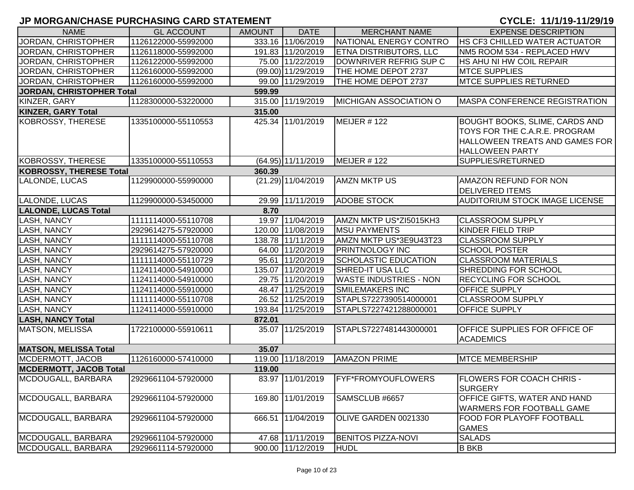| <b>NAME</b>                    | <b>GL ACCOUNT</b>   | <b>AMOUNT</b> | <b>DATE</b>          | <b>MERCHANT NAME</b>          | <b>EXPENSE DESCRIPTION</b>                                              |
|--------------------------------|---------------------|---------------|----------------------|-------------------------------|-------------------------------------------------------------------------|
| JORDAN, CHRISTOPHER            | 1126122000-55992000 |               | 333.16 11/06/2019    | NATIONAL ENERGY CONTRO        | <b>HS CF3 CHILLED WATER ACTUATOR</b>                                    |
| JORDAN, CHRISTOPHER            | 1126118000-55992000 |               | 191.83 11/20/2019    | <b>ETNA DISTRIBUTORS, LLC</b> | NM5 ROOM 534 - REPLACED HWV                                             |
| JORDAN, CHRISTOPHER            | 1126122000-55992000 |               | 75.00 11/22/2019     | DOWNRIVER REFRIG SUP C        | HS AHU NI HW COIL REPAIR                                                |
| JORDAN, CHRISTOPHER            | 1126160000-55992000 |               | (99.00) 11/29/2019   | THE HOME DEPOT 2737           | <b>MTCE SUPPLIES</b>                                                    |
| JORDAN, CHRISTOPHER            | 1126160000-55992000 |               | 99.00 11/29/2019     | THE HOME DEPOT 2737           | <b>MTCE SUPPLIES RETURNED</b>                                           |
| JORDAN, CHRISTOPHER Total      |                     | 599.99        |                      |                               |                                                                         |
| KINZER, GARY                   | 1128300000-53220000 |               | 315.00 11/19/2019    | MICHIGAN ASSOCIATION O        | MASPA CONFERENCE REGISTRATION                                           |
| <b>KINZER, GARY Total</b>      |                     | 315.00        |                      |                               |                                                                         |
| KOBROSSY, THERESE              | 1335100000-55110553 |               | 425.34 11/01/2019    | MEIJER #122                   | <b>BOUGHT BOOKS, SLIME, CARDS AND</b>                                   |
|                                |                     |               |                      |                               | TOYS FOR THE C.A.R.E. PROGRAM                                           |
|                                |                     |               |                      |                               | HALLOWEEN TREATS AND GAMES FOR                                          |
|                                |                     |               |                      |                               | <b>HALLOWEEN PARTY</b>                                                  |
| KOBROSSY, THERESE              | 1335100000-55110553 |               | (64.95) 11/11/2019   | MEIJER #122                   | SUPPLIES/RETURNED                                                       |
| <b>KOBROSSY, THERESE Total</b> |                     | 360.39        |                      |                               |                                                                         |
| LALONDE, LUCAS                 | 1129900000-55990000 |               | $(21.29)$ 11/04/2019 | <b>AMZN MKTP US</b>           | AMAZON REFUND FOR NON                                                   |
|                                |                     |               |                      |                               | <b>DELIVERED ITEMS</b>                                                  |
| LALONDE, LUCAS                 | 1129900000-53450000 |               | 29.99 11/11/2019     | <b>ADOBE STOCK</b>            | <b>AUDITORIUM STOCK IMAGE LICENSE</b>                                   |
| <b>LALONDE, LUCAS Total</b>    |                     | 8.70          |                      |                               |                                                                         |
| <b>LASH, NANCY</b>             | 1111114000-55110708 |               | 19.97 11/04/2019     | AMZN MKTP US*ZI5015KH3        | <b>CLASSROOM SUPPLY</b>                                                 |
| <b>LASH, NANCY</b>             | 2929614275-57920000 |               | 120.00 11/08/2019    | <b>MSU PAYMENTS</b>           | KINDER FIELD TRIP                                                       |
| <b>LASH, NANCY</b>             | 1111114000-55110708 |               | 138.78 11/11/2019    | AMZN MKTP US*3E9U43T23        | <b>CLASSROOM SUPPLY</b>                                                 |
| <b>LASH, NANCY</b>             | 2929614275-57920000 |               | 64.00 11/20/2019     | <b>PRINTNOLOGY INC</b>        | <b>SCHOOL POSTER</b>                                                    |
| <b>LASH, NANCY</b>             | 1111114000-55110729 |               | 95.61 11/20/2019     | <b>SCHOLASTIC EDUCATION</b>   | <b>CLASSROOM MATERIALS</b>                                              |
| <b>LASH, NANCY</b>             | 1124114000-54910000 |               | 135.07 11/20/2019    | <b>SHRED-IT USA LLC</b>       | SHREDDING FOR SCHOOL                                                    |
| <b>LASH, NANCY</b>             | 1124114000-54910000 |               | 29.75 11/20/2019     | <b>WASTE INDUSTRIES - NON</b> | <b>RECYCLING FOR SCHOOL</b>                                             |
| <b>LASH, NANCY</b>             | 1124114000-55910000 |               | 48.47 11/25/2019     | <b>SMILEMAKERS INC</b>        | OFFICE SUPPLY                                                           |
| <b>LASH, NANCY</b>             | 1111114000-55110708 |               | 26.52 11/25/2019     | STAPLS7227390514000001        | <b>CLASSROOM SUPPLY</b>                                                 |
| <b>LASH, NANCY</b>             | 1124114000-55910000 |               | 193.84 11/25/2019    | STAPLS7227421288000001        | OFFICE SUPPLY                                                           |
| <b>LASH, NANCY Total</b>       |                     | 872.01        |                      |                               |                                                                         |
| <b>MATSON, MELISSA</b>         | 1722100000-55910611 |               | 35.07 11/25/2019     | STAPLS7227481443000001        | OFFICE SUPPLIES FOR OFFICE OF                                           |
|                                |                     |               |                      |                               | <b>ACADEMICS</b>                                                        |
| <b>MATSON, MELISSA Total</b>   |                     | 35.07         |                      |                               |                                                                         |
| MCDERMOTT, JACOB               | 1126160000-57410000 |               | 119.00 11/18/2019    | <b>AMAZON PRIME</b>           | <b>MTCE MEMBERSHIP</b>                                                  |
| <b>MCDERMOTT, JACOB Total</b>  |                     | 119.00        |                      |                               |                                                                         |
| MCDOUGALL, BARBARA             | 2929661104-57920000 |               | 83.97 11/01/2019     | <b>FYF*FROMYOUFLOWERS</b>     | <b>FLOWERS FOR COACH CHRIS -</b><br><b>SURGERY</b>                      |
| MCDOUGALL, BARBARA             | 2929661104-57920000 |               | 169.80 11/01/2019    | SAMSCLUB #6657                | <b>OFFICE GIFTS, WATER AND HAND</b><br><b>WARMERS FOR FOOTBALL GAME</b> |
| MCDOUGALL, BARBARA             | 2929661104-57920000 |               | 666.51 11/04/2019    | OLIVE GARDEN 0021330          | <b>FOOD FOR PLAYOFF FOOTBALL</b><br><b>GAMES</b>                        |
| MCDOUGALL, BARBARA             | 2929661104-57920000 |               | 47.68 11/11/2019     | <b>BENITOS PIZZA-NOVI</b>     | <b>SALADS</b>                                                           |
| MCDOUGALL, BARBARA             | 2929661114-57920000 |               | 900.00 11/12/2019    | <b>HUDL</b>                   | <b>B BKB</b>                                                            |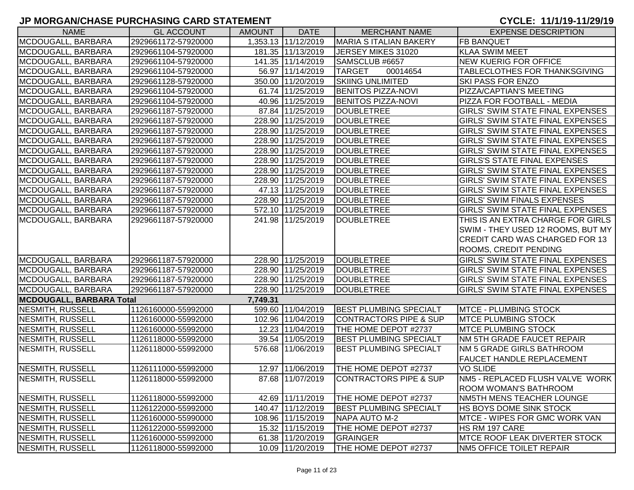| <b>NAME</b>                     | <b>GL ACCOUNT</b>   | <b>AMOUNT</b> | <b>DATE</b>         | <b>MERCHANT NAME</b>              | <b>EXPENSE DESCRIPTION</b>              |
|---------------------------------|---------------------|---------------|---------------------|-----------------------------------|-----------------------------------------|
| MCDOUGALL, BARBARA              | 2929661172-57920000 |               | 1.353.13 11/12/2019 | MARIA S ITALIAN BAKERY            | <b>FB BANQUET</b>                       |
| MCDOUGALL, BARBARA              | 2929661104-57920000 |               | 181.35 11/13/2019   | JERSEY MIKES 31020                | <b>KLAA SWIM MEET</b>                   |
| MCDOUGALL, BARBARA              | 2929661104-57920000 |               | 141.35 11/14/2019   | SAMSCLUB #6657                    | <b>NEW KUERIG FOR OFFICE</b>            |
| MCDOUGALL, BARBARA              | 2929661104-57920000 |               | 56.97 11/14/2019    | <b>TARGET</b><br>00014654         | TABLECLOTHES FOR THANKSGIVING           |
| MCDOUGALL, BARBARA              | 2929661128-57920000 |               | 350.00 11/20/2019   | <b>SKIING UNLIMITED</b>           | SKI PASS FOR ENZO                       |
| MCDOUGALL, BARBARA              | 2929661104-57920000 |               | 61.74 11/25/2019    | <b>BENITOS PIZZA-NOVI</b>         | PIZZA/CAPTIAN'S MEETING                 |
| MCDOUGALL, BARBARA              | 2929661104-57920000 |               | 40.96 11/25/2019    | <b>BENITOS PIZZA-NOVI</b>         | PIZZA FOR FOOTBALL - MEDIA              |
| MCDOUGALL, BARBARA              | 2929661187-57920000 |               | 87.84 11/25/2019    | <b>DOUBLETREE</b>                 | GIRLS' SWIM STATE FINAL EXPENSES        |
| MCDOUGALL, BARBARA              | 2929661187-57920000 |               | 228.90 11/25/2019   | <b>DOUBLETREE</b>                 | GIRLS' SWIM STATE FINAL EXPENSES        |
| MCDOUGALL, BARBARA              | 2929661187-57920000 |               | 228.90 11/25/2019   | <b>DOUBLETREE</b>                 | <b>GIRLS' SWIM STATE FINAL EXPENSES</b> |
| MCDOUGALL, BARBARA              | 2929661187-57920000 |               | 228.90 11/25/2019   | <b>DOUBLETREE</b>                 | GIRLS' SWIM STATE FINAL EXPENSES        |
| MCDOUGALL, BARBARA              | 2929661187-57920000 |               | 228.90 11/25/2019   | <b>DOUBLETREE</b>                 | <b>GIRLS' SWIM STATE FINAL EXPENSES</b> |
| MCDOUGALL, BARBARA              | 2929661187-57920000 |               | 228.90 11/25/2019   | <b>DOUBLETREE</b>                 | <b>GIRLS'S STATE FINAL EXPENSES</b>     |
| MCDOUGALL, BARBARA              | 2929661187-57920000 |               | 228.90 11/25/2019   | DOUBLETREE                        | <b>GIRLS' SWIM STATE FINAL EXPENSES</b> |
| MCDOUGALL, BARBARA              | 2929661187-57920000 |               | 228.90 11/25/2019   | <b>DOUBLETREE</b>                 | GIRLS' SWIM STATE FINAL EXPENSES        |
| MCDOUGALL, BARBARA              | 2929661187-57920000 |               | 47.13 11/25/2019    | <b>DOUBLETREE</b>                 | GIRLS' SWIM STATE FINAL EXPENSES        |
| MCDOUGALL, BARBARA              | 2929661187-57920000 |               | 228.90 11/25/2019   | DOUBLETREE                        | <b>GIRLS' SWIM FINALS EXPENSES</b>      |
| MCDOUGALL, BARBARA              | 2929661187-57920000 |               | 572.10 11/25/2019   | DOUBLETREE                        | GIRLS' SWIM STATE FINAL EXPENSES        |
| MCDOUGALL, BARBARA              | 2929661187-57920000 |               | 241.98 11/25/2019   | <b>DOUBLETREE</b>                 | THIS IS AN EXTRA CHARGE FOR GIRLS       |
|                                 |                     |               |                     |                                   | SWIM - THEY USED 12 ROOMS, BUT MY       |
|                                 |                     |               |                     |                                   | <b>CREDIT CARD WAS CHARGED FOR 13</b>   |
|                                 |                     |               |                     |                                   | <b>ROOMS, CREDIT PENDING</b>            |
| MCDOUGALL, BARBARA              | 2929661187-57920000 |               | 228.90 11/25/2019   | <b>DOUBLETREE</b>                 | <b>GIRLS' SWIM STATE FINAL EXPENSES</b> |
| MCDOUGALL, BARBARA              | 2929661187-57920000 |               | 228.90 11/25/2019   | <b>DOUBLETREE</b>                 | GIRLS' SWIM STATE FINAL EXPENSES        |
| MCDOUGALL, BARBARA              | 2929661187-57920000 |               | 228.90 11/25/2019   | <b>DOUBLETREE</b>                 | GIRLS' SWIM STATE FINAL EXPENSES        |
| MCDOUGALL, BARBARA              | 2929661187-57920000 | 228.90        | 11/25/2019          | <b>DOUBLETREE</b>                 | <b>GIRLS' SWIM STATE FINAL EXPENSES</b> |
| <b>MCDOUGALL, BARBARA Total</b> |                     | 7,749.31      |                     |                                   |                                         |
| <b>NESMITH, RUSSELL</b>         | 1126160000-55992000 |               | 599.60 11/04/2019   | <b>BEST PLUMBING SPECIALT</b>     | <b>MTCE - PLUMBING STOCK</b>            |
| <b>NESMITH, RUSSELL</b>         | 1126160000-55992000 |               | 102.96 11/04/2019   | <b>CONTRACTORS PIPE &amp; SUP</b> | <b>MTCE PLUMBING STOCK</b>              |
| <b>NESMITH, RUSSELL</b>         | 1126160000-55992000 |               | 12.23 11/04/2019    | THE HOME DEPOT #2737              | <b>MTCE PLUMBING STOCK</b>              |
| <b>NESMITH, RUSSELL</b>         | 1126118000-55992000 |               | 39.54 11/05/2019    | <b>BEST PLUMBING SPECIALT</b>     | NM 5TH GRADE FAUCET REPAIR              |
| <b>NESMITH, RUSSELL</b>         | 1126118000-55992000 |               | 576.68 11/06/2019   | <b>BEST PLUMBING SPECIALT</b>     | NM 5 GRADE GIRLS BATHROOM               |
|                                 |                     |               |                     |                                   | <b>FAUCET HANDLE REPLACEMENT</b>        |
| NESMITH, RUSSELL                | 1126111000-55992000 |               | 12.97 11/06/2019    | THE HOME DEPOT #2737              | <b>VO SLIDE</b>                         |
| <b>NESMITH, RUSSELL</b>         | 1126118000-55992000 |               | 87.68 11/07/2019    | <b>CONTRACTORS PIPE &amp; SUP</b> | NM5 - REPLACED FLUSH VALVE WORK         |
|                                 |                     |               |                     |                                   | <b>ROOM WOMAN'S BATHROOM</b>            |
| NESMITH, RUSSELL                | 1126118000-55992000 |               | 42.69 11/11/2019    | THE HOME DEPOT #2737              | NM5TH MENS TEACHER LOUNGE               |
| NESMITH, RUSSELL                | 1126122000-55992000 |               | 140.47 11/12/2019   | <b>BEST PLUMBING SPECIALT</b>     | <b>HS BOYS DOME SINK STOCK</b>          |
| NESMITH, RUSSELL                | 1126160000-55990000 |               | 108.96 11/15/2019   | NAPA AUTO M-2                     | <b>IMTCE - WIPES FOR GMC WORK VAN</b>   |
| NESMITH, RUSSELL                | 1126122000-55992000 |               | 15.32 11/15/2019    | THE HOME DEPOT #2737              | HS RM 197 CARE                          |
| <b>NESMITH, RUSSELL</b>         | 1126160000-55992000 |               | 61.38 11/20/2019    | GRAINGER                          | <b>IMTCE ROOF LEAK DIVERTER STOCK</b>   |
| NESMITH, RUSSELL                | 1126118000-55992000 |               | 10.09 11/20/2019    | THE HOME DEPOT #2737              | NM5 OFFICE TOILET REPAIR                |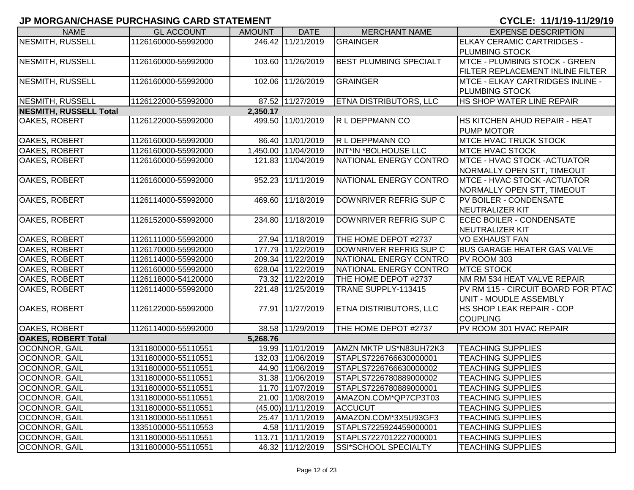| <b>NAME</b>                   | <b>GL ACCOUNT</b>   | <b>AMOUNT</b> | <b>DATE</b>         | <b>MERCHANT NAME</b>          | <b>EXPENSE DESCRIPTION</b>                         |
|-------------------------------|---------------------|---------------|---------------------|-------------------------------|----------------------------------------------------|
| <b>NESMITH, RUSSELL</b>       | 1126160000-55992000 |               | 246.42 11/21/2019   | <b>GRAINGER</b>               | ELKAY CERAMIC CARTRIDGES -                         |
|                               |                     |               |                     |                               | <b>PLUMBING STOCK</b>                              |
| <b>NESMITH, RUSSELL</b>       | 1126160000-55992000 |               | 103.60 11/26/2019   | <b>BEST PLUMBING SPECIALT</b> | MTCE - PLUMBING STOCK - GREEN                      |
|                               |                     |               |                     |                               | FILTER REPLACEMENT INLINE FILTER                   |
| <b>NESMITH, RUSSELL</b>       | 1126160000-55992000 |               | 102.06 11/26/2019   | GRAINGER                      | MTCE - ELKAY CARTRIDGES INLINE -                   |
|                               |                     |               |                     |                               | <b>PLUMBING STOCK</b>                              |
| <b>NESMITH, RUSSELL</b>       | 1126122000-55992000 |               | 87.52 11/27/2019    | <b>ETNA DISTRIBUTORS, LLC</b> | <b>HS SHOP WATER LINE REPAIR</b>                   |
| <b>NESMITH, RUSSELL Total</b> |                     | 2,350.17      |                     |                               |                                                    |
| <b>OAKES, ROBERT</b>          | 1126122000-55992000 |               | 499.50 11/01/2019   | R L DEPPMANN CO               | HS KITCHEN AHUD REPAIR - HEAT<br><b>PUMP MOTOR</b> |
| OAKES, ROBERT                 | 1126160000-55992000 |               | 86.40 11/01/2019    | R L DEPPMANN CO               | <b>MTCE HVAC TRUCK STOCK</b>                       |
| OAKES, ROBERT                 | 1126160000-55992000 |               | 1,450.00 11/04/2019 | INT*IN *BOLHOUSE LLC          | <b>MTCE HVAC STOCK</b>                             |
| OAKES, ROBERT                 | 1126160000-55992000 |               | 121.83 11/04/2019   | NATIONAL ENERGY CONTRO        | <b>IMTCE - HVAC STOCK -ACTUATOR</b>                |
|                               |                     |               |                     |                               | NORMALLY OPEN STT, TIMEOUT                         |
| OAKES, ROBERT                 | 1126160000-55992000 |               | 952.23 11/11/2019   | NATIONAL ENERGY CONTRO        | <b>IMTCE - HVAC STOCK -ACTUATOR</b>                |
|                               |                     |               |                     |                               | NORMALLY OPEN STT, TIMEOUT                         |
| OAKES, ROBERT                 | 1126114000-55992000 |               | 469.60 11/18/2019   | DOWNRIVER REFRIG SUP C        | <b>PV BOILER - CONDENSATE</b>                      |
|                               |                     |               |                     |                               | NEUTRALIZER KIT                                    |
| OAKES, ROBERT                 | 1126152000-55992000 |               | 234.80 11/18/2019   | DOWNRIVER REFRIG SUP C        | <b>ECEC BOILER - CONDENSATE</b>                    |
|                               |                     |               |                     |                               | NEUTRALIZER KIT                                    |
| OAKES, ROBERT                 | 1126111000-55992000 |               | 27.94 11/18/2019    | THE HOME DEPOT #2737          | <b>VO EXHAUST FAN</b>                              |
| OAKES, ROBERT                 | 1126170000-55992000 |               | 177.79 11/22/2019   | DOWNRIVER REFRIG SUP C        | <b>BUS GARAGE HEATER GAS VALVE</b>                 |
| OAKES, ROBERT                 | 1126114000-55992000 |               | 209.34 11/22/2019   | NATIONAL ENERGY CONTRO        | PV ROOM 303                                        |
| OAKES, ROBERT                 | 1126160000-55992000 |               | 628.04 11/22/2019   | NATIONAL ENERGY CONTRO        | <b>MTCE STOCK</b>                                  |
| OAKES, ROBERT                 | 1126118000-54120000 |               | 73.32 11/22/2019    | THE HOME DEPOT #2737          | NM RM 534 HEAT VALVE REPAIR                        |
| OAKES, ROBERT                 | 1126114000-55992000 |               | 221.48 11/25/2019   | TRANE SUPPLY-113415           | PV RM 115 - CIRCUIT BOARD FOR PTAC                 |
|                               |                     |               |                     |                               | UNIT - MOUDLE ASSEMBLY                             |
| OAKES, ROBERT                 | 1126122000-55992000 |               | 77.91 11/27/2019    | ETNA DISTRIBUTORS, LLC        | HS SHOP LEAK REPAIR - COP                          |
|                               |                     |               |                     |                               | <b>COUPLING</b>                                    |
| OAKES, ROBERT                 | 1126114000-55992000 |               | 38.58 11/29/2019    | THE HOME DEPOT #2737          | PV ROOM 301 HVAC REPAIR                            |
| <b>OAKES, ROBERT Total</b>    |                     | 5,268.76      |                     |                               |                                                    |
| OCONNOR, GAIL                 | 1311800000-55110551 |               | 19.99 11/01/2019    | AMZN MKTP US*N83UH72K3        | <b>TEACHING SUPPLIES</b>                           |
| OCONNOR, GAIL                 | 1311800000-55110551 |               | 132.03 11/06/2019   | STAPLS7226766630000001        | <b>TEACHING SUPPLIES</b>                           |
| OCONNOR, GAIL                 | 1311800000-55110551 |               | 44.90 11/06/2019    | STAPLS7226766630000002        | <b>TEACHING SUPPLIES</b>                           |
| OCONNOR, GAIL                 | 1311800000-55110551 |               | 31.38 11/06/2019    | STAPLS7226780889000002        | <b>TEACHING SUPPLIES</b>                           |
| <b>OCONNOR, GAIL</b>          | 1311800000-55110551 |               | 11.70 11/07/2019    | STAPLS7226780889000001        | <b>TEACHING SUPPLIES</b>                           |
| <b>OCONNOR, GAIL</b>          | 1311800000-55110551 |               | 21.00 11/08/2019    | AMAZON.COM*QP7CP3T03          | <b>TEACHING SUPPLIES</b>                           |
| <b>OCONNOR, GAIL</b>          | 1311800000-55110551 |               | (45.00) 11/11/2019  | <b>ACCUCUT</b>                | <b>TEACHING SUPPLIES</b>                           |
| <b>OCONNOR, GAIL</b>          | 1311800000-55110551 |               | 25.47 11/11/2019    | AMAZON.COM*3X5U93GF3          | <b>TEACHING SUPPLIES</b>                           |
| OCONNOR, GAIL                 | 1335100000-55110553 |               | 4.58 11/11/2019     | STAPLS7225924459000001        | <b>TEACHING SUPPLIES</b>                           |
| OCONNOR, GAIL                 | 1311800000-55110551 |               | 113.71 11/11/2019   | STAPLS7227012227000001        | <b>TEACHING SUPPLIES</b>                           |
| OCONNOR, GAIL                 | 1311800000-55110551 |               | 46.32 11/12/2019    | SSI*SCHOOL SPECIALTY          | <b>TEACHING SUPPLIES</b>                           |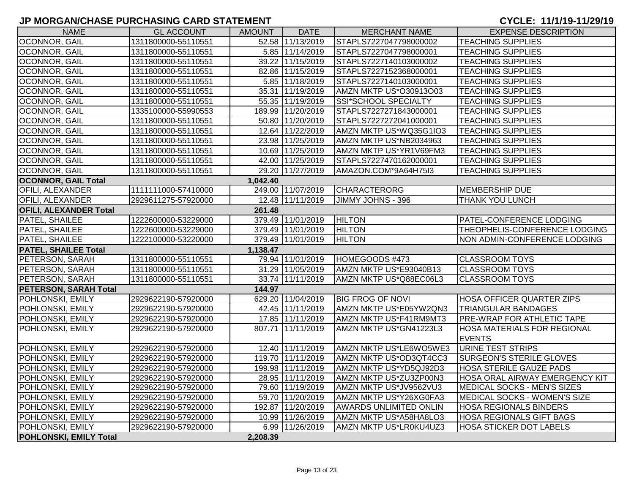| <b>NAME</b>                            | <b>GL ACCOUNT</b>   | AMOUNT   | <b>DATE</b>       | <b>MERCHANT NAME</b>          | <b>EXPENSE DESCRIPTION</b>                          |  |  |  |
|----------------------------------------|---------------------|----------|-------------------|-------------------------------|-----------------------------------------------------|--|--|--|
| <b>OCONNOR, GAIL</b>                   | 1311800000-55110551 |          | 52.58 11/13/2019  | STAPLS7227047798000002        | <b>TEACHING SUPPLIES</b>                            |  |  |  |
| OCONNOR, GAIL                          | 1311800000-55110551 |          | 5.85 11/14/2019   | STAPLS7227047798000001        | <b>TEACHING SUPPLIES</b>                            |  |  |  |
| <b>OCONNOR, GAIL</b>                   | 1311800000-55110551 |          | 39.22 11/15/2019  | STAPLS7227140103000002        | <b>TEACHING SUPPLIES</b>                            |  |  |  |
| OCONNOR, GAIL                          | 1311800000-55110551 |          | 82.86 11/15/2019  | STAPLS7227152368000001        | <b>TEACHING SUPPLIES</b>                            |  |  |  |
| OCONNOR, GAIL                          | 1311800000-55110551 |          | 5.85 11/18/2019   | STAPLS7227140103000001        | <b>TEACHING SUPPLIES</b>                            |  |  |  |
| OCONNOR, GAIL                          | 1311800000-55110551 |          | 35.31 11/19/2019  | AMZN MKTP US*O30913O03        | <b>TEACHING SUPPLIES</b>                            |  |  |  |
| OCONNOR, GAIL                          | 1311800000-55110551 |          | 55.35 11/19/2019  | SSI*SCHOOL SPECIALTY          | <b>TEACHING SUPPLIES</b>                            |  |  |  |
| OCONNOR, GAIL                          | 1335100000-55990553 |          | 189.99 11/20/2019 | STAPLS7227271843000001        | <b>TEACHING SUPPLIES</b>                            |  |  |  |
| OCONNOR, GAIL                          | 1311800000-55110551 |          | 50.80 11/20/2019  | STAPLS7227272041000001        | <b>TEACHING SUPPLIES</b>                            |  |  |  |
| OCONNOR, GAIL                          | 1311800000-55110551 |          | 12.64 11/22/2019  | AMZN MKTP US*WQ35G1IO3        | <b>TEACHING SUPPLIES</b>                            |  |  |  |
| OCONNOR, GAIL                          | 1311800000-55110551 |          | 23.98 11/25/2019  | AMZN MKTP US*NB2034963        | <b>TEACHING SUPPLIES</b>                            |  |  |  |
| OCONNOR, GAIL                          | 1311800000-55110551 |          | 10.69 11/25/2019  | AMZN MKTP US*YR1V69FM3        | <b>TEACHING SUPPLIES</b>                            |  |  |  |
| <b>OCONNOR, GAIL</b>                   | 1311800000-55110551 |          | 42.00 11/25/2019  | STAPLS7227470162000001        | <b>TEACHING SUPPLIES</b>                            |  |  |  |
| OCONNOR, GAIL                          | 1311800000-55110551 |          | 29.20 11/27/2019  | AMAZON.COM*9A64H75I3          | <b>TEACHING SUPPLIES</b>                            |  |  |  |
| <b>OCONNOR, GAIL Total</b><br>1,042.40 |                     |          |                   |                               |                                                     |  |  |  |
| <b>OFILI, ALEXANDER</b>                | 1111111000-57410000 |          | 249.00 11/07/2019 | <b>CHARACTERORG</b>           | <b>MEMBERSHIP DUE</b>                               |  |  |  |
| <b>OFILI, ALEXANDER</b>                | 2929611275-57920000 |          | 12.48 11/11/2019  | JIMMY JOHNS - 396             | THANK YOU LUNCH                                     |  |  |  |
| <b>OFILI, ALEXANDER Total</b>          |                     | 261.48   |                   |                               |                                                     |  |  |  |
| PATEL, SHAILEE                         | 1222600000-53229000 |          | 379.49 11/01/2019 | <b>HILTON</b>                 | <b>PATEL-CONFERENCE LODGING</b>                     |  |  |  |
| PATEL, SHAILEE                         | 1222600000-53229000 |          | 379.49 11/01/2019 | <b>HILTON</b>                 | THEOPHELIS-CONFERENCE LODGING                       |  |  |  |
| PATEL, SHAILEE                         | 1222100000-53220000 |          | 379.49 11/01/2019 | <b>HILTON</b>                 | NON ADMIN-CONFERENCE LODGING                        |  |  |  |
| <b>PATEL, SHAILEE Total</b>            |                     | 1,138.47 |                   |                               |                                                     |  |  |  |
| PETERSON, SARAH                        | 1311800000-55110551 |          | 79.94 11/01/2019  | HOMEGOODS #473                | <b>CLASSROOM TOYS</b>                               |  |  |  |
| PETERSON, SARAH                        | 1311800000-55110551 |          | 31.29 11/05/2019  | AMZN MKTP US*E93040B13        | <b>CLASSROOM TOYS</b>                               |  |  |  |
| PETERSON, SARAH                        | 1311800000-55110551 |          | 33.74 11/11/2019  | AMZN MKTP US*Q88EC06L3        | <b>CLASSROOM TOYS</b>                               |  |  |  |
| <b>PETERSON, SARAH Total</b>           |                     | 144.97   |                   |                               |                                                     |  |  |  |
| POHLONSKI, EMILY                       | 2929622190-57920000 |          | 629.20 11/04/2019 | <b>BIG FROG OF NOVI</b>       | <b>HOSA OFFICER QUARTER ZIPS</b>                    |  |  |  |
| POHLONSKI, EMILY                       | 2929622190-57920000 |          | 42.45 11/11/2019  | AMZN MKTP US*E05YW2QN3        | <b>TRIANGULAR BANDAGES</b>                          |  |  |  |
| POHLONSKI, EMILY                       | 2929622190-57920000 |          | 17.85 11/11/2019  | AMZN MKTP US*F41RM9MT3        | <b>PRE-WRAP FOR ATHLETIC TAPE</b>                   |  |  |  |
| POHLONSKI, EMILY                       | 2929622190-57920000 |          | 807.71 11/11/2019 | AMZN MKTP US*GN41223L3        | <b>HOSA MATERIALS FOR REGIONAL</b><br><b>EVENTS</b> |  |  |  |
| POHLONSKI, EMILY                       | 2929622190-57920000 |          | 12.40 11/11/2019  | AMZN MKTP US*LE6WO5WE3        | <b>URINE TEST STRIPS</b>                            |  |  |  |
| POHLONSKI, EMILY                       | 2929622190-57920000 |          | 119.70 11/11/2019 | AMZN MKTP US*OD3QT4CC3        | <b>SURGEON'S STERILE GLOVES</b>                     |  |  |  |
| POHLONSKI, EMILY                       | 2929622190-57920000 |          | 199.98 11/11/2019 | AMZN MKTP US*YD5QJ92D3        | <b>HOSA STERILE GAUZE PADS</b>                      |  |  |  |
| POHLONSKI, EMILY                       | 2929622190-57920000 |          | 28.95 11/11/2019  | AMZN MKTP US*ZU3ZP00N3        | HOSA ORAL AIRWAY EMERGENCY KIT                      |  |  |  |
| POHLONSKI, EMILY                       | 2929622190-57920000 |          | 79.60 11/19/2019  | AMZN MKTP US*JV9562VU3        | MEDICAL SOCKS - MEN'S SIZES                         |  |  |  |
| POHLONSKI, EMILY                       | 2929622190-57920000 |          | 59.70 11/20/2019  | AMZN MKTP US*Y26XG0FA3        | MEDICAL SOCKS - WOMEN'S SIZE                        |  |  |  |
| POHLONSKI, EMILY                       | 2929622190-57920000 |          | 192.87 11/20/2019 | <b>AWARDS UNLIMITED ONLIN</b> | <b>HOSA REGIONALS BINDERS</b>                       |  |  |  |
| POHLONSKI, EMILY                       | 2929622190-57920000 |          | 10.99 11/26/2019  | AMZN MKTP US*A58HA8LO3        | <b>HOSA REGIONALS GIFT BAGS</b>                     |  |  |  |
| POHLONSKI, EMILY                       | 2929622190-57920000 |          | 6.99 11/26/2019   | AMZN MKTP US*LR0KU4UZ3        | <b>HOSA STICKER DOT LABELS</b>                      |  |  |  |
| <b>POHLONSKI, EMILY Total</b>          |                     | 2,208.39 |                   |                               |                                                     |  |  |  |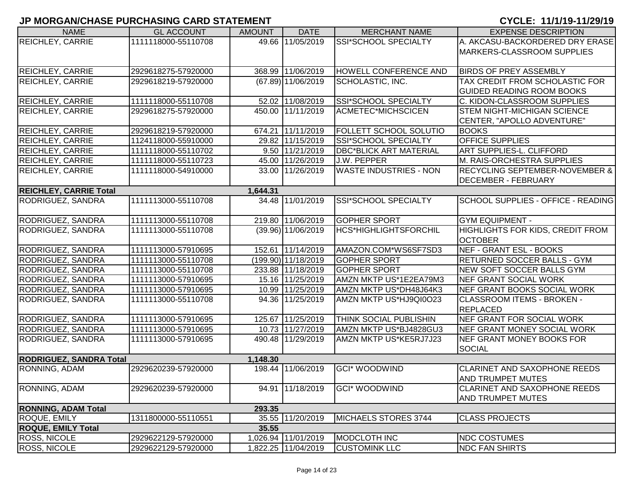| <b>NAME</b>                    | <b>GL ACCOUNT</b>   | <b>AMOUNT</b> | <b>DATE</b>          | <b>MERCHANT NAME</b>          | <b>EXPENSE DESCRIPTION</b>                |
|--------------------------------|---------------------|---------------|----------------------|-------------------------------|-------------------------------------------|
| REICHLEY, CARRIE               | 1111118000-55110708 |               | 49.66 11/05/2019     | <b>SSI*SCHOOL SPECIALTY</b>   | A. AKCASU-BACKORDERED DRY ERASE           |
|                                |                     |               |                      |                               | MARKERS-CLASSROOM SUPPLIES                |
|                                |                     |               |                      |                               |                                           |
| <b>REICHLEY, CARRIE</b>        | 2929618275-57920000 |               | 368.99 11/06/2019    | <b>HOWELL CONFERENCE AND</b>  | <b>BIRDS OF PREY ASSEMBLY</b>             |
| <b>REICHLEY, CARRIE</b>        | 2929618219-57920000 |               | (67.89) 11/06/2019   | <b>SCHOLASTIC, INC.</b>       | TAX CREDIT FROM SCHOLASTIC FOR            |
|                                |                     |               |                      |                               | <b>GUIDED READING ROOM BOOKS</b>          |
| <b>REICHLEY, CARRIE</b>        | 1111118000-55110708 |               | 52.02 11/08/2019     | SSI*SCHOOL SPECIALTY          | C. KIDON-CLASSROOM SUPPLIES               |
| <b>REICHLEY, CARRIE</b>        | 2929618275-57920000 |               | 450.00 11/11/2019    | <b>ACMETEC*MICHSCICEN</b>     | <b>STEM NIGHT-MICHIGAN SCIENCE</b>        |
|                                |                     |               |                      |                               | CENTER, "APOLLO ADVENTURE"                |
| <b>REICHLEY, CARRIE</b>        | 2929618219-57920000 |               | 674.21 11/11/2019    | <b>FOLLETT SCHOOL SOLUTIO</b> | <b>BOOKS</b>                              |
| <b>REICHLEY, CARRIE</b>        | 1124118000-55910000 |               | 29.82 11/15/2019     | SSI*SCHOOL SPECIALTY          | <b>OFFICE SUPPLIES</b>                    |
| <b>REICHLEY, CARRIE</b>        | 1111118000-55110702 |               | $9.50$ $11/21/2019$  | <b>DBC*BLICK ART MATERIAL</b> | ART SUPPLIES-L. CLIFFORD                  |
| <b>REICHLEY, CARRIE</b>        | 1111118000-55110723 |               | 45.00 11/26/2019     | J.W. PEPPER                   | M. RAIS-ORCHESTRA SUPPLIES                |
| <b>REICHLEY, CARRIE</b>        | 1111118000-54910000 |               | 33.00 11/26/2019     | <b>WASTE INDUSTRIES - NON</b> | <b>RECYCLING SEPTEMBER-NOVEMBER &amp;</b> |
|                                |                     |               |                      |                               | <b>DECEMBER - FEBRUARY</b>                |
| <b>REICHLEY, CARRIE Total</b>  |                     | 1,644.31      |                      |                               |                                           |
| RODRIGUEZ, SANDRA              | 1111113000-55110708 |               | 34.48 11/01/2019     | <b>SSI*SCHOOL SPECIALTY</b>   | <b>SCHOOL SUPPLIES - OFFICE - READING</b> |
|                                |                     |               |                      |                               |                                           |
| RODRIGUEZ, SANDRA              | 1111113000-55110708 |               | 219.80 11/06/2019    | <b>GOPHER SPORT</b>           | <b>GYM EQUIPMENT -</b>                    |
| RODRIGUEZ, SANDRA              | 1111113000-55110708 |               | $(39.96)$ 11/06/2019 | HCS*HIGHLIGHTSFORCHIL         | <b>HIGHLIGHTS FOR KIDS, CREDIT FROM</b>   |
|                                |                     |               |                      |                               | <b>OCTOBER</b>                            |
| RODRIGUEZ, SANDRA              | 1111113000-57910695 |               | 152.61 11/14/2019    | AMAZON.COM*WS6SF7SD3          | NEF - GRANT ESL - BOOKS                   |
| RODRIGUEZ, SANDRA              | 1111113000-55110708 |               | (199.90) 11/18/2019  | <b>GOPHER SPORT</b>           | <b>RETURNED SOCCER BALLS - GYM</b>        |
| RODRIGUEZ, SANDRA              | 1111113000-55110708 |               | 233.88 11/18/2019    | <b>GOPHER SPORT</b>           | NEW SOFT SOCCER BALLS GYM                 |
| RODRIGUEZ, SANDRA              | 1111113000-57910695 |               | 15.16 11/25/2019     | AMZN MKTP US*1E2EA79M3        | NEF GRANT SOCIAL WORK                     |
| RODRIGUEZ, SANDRA              | 1111113000-57910695 |               | 10.99 11/25/2019     | AMZN MKTP US*DH48J64K3        | NEF GRANT BOOKS SOCIAL WORK               |
| RODRIGUEZ, SANDRA              | 1111113000-55110708 |               | 94.36 11/25/2019     | AMZN MKTP US*HJ9QI0O23        | <b>CLASSROOM ITEMS - BROKEN -</b>         |
|                                |                     |               |                      |                               | <b>REPLACED</b>                           |
| RODRIGUEZ, SANDRA              | 1111113000-57910695 |               | 125.67 11/25/2019    | <b>THINK SOCIAL PUBLISHIN</b> | NEF GRANT FOR SOCIAL WORK                 |
| RODRIGUEZ, SANDRA              | 1111113000-57910695 |               | 10.73 11/27/2019     | AMZN MKTP US*BJ4828GU3        | NEF GRANT MONEY SOCIAL WORK               |
| RODRIGUEZ, SANDRA              | 1111113000-57910695 |               | 490.48 11/29/2019    | AMZN MKTP US*KE5RJ7J23        | <b>INEF GRANT MONEY BOOKS FOR</b>         |
|                                |                     |               |                      |                               | <b>SOCIAL</b>                             |
| <b>RODRIGUEZ, SANDRA Total</b> |                     | 1,148.30      |                      |                               |                                           |
| RONNING, ADAM                  | 2929620239-57920000 |               | 198.44 11/06/2019    | <b>GCI* WOODWIND</b>          | <b>CLARINET AND SAXOPHONE REEDS</b>       |
|                                |                     |               |                      |                               | <b>AND TRUMPET MUTES</b>                  |
| RONNING, ADAM                  | 2929620239-57920000 |               | 94.91 11/18/2019     | <b>GCI* WOODWIND</b>          | <b>CLARINET AND SAXOPHONE REEDS</b>       |
|                                |                     |               |                      |                               | <b>AND TRUMPET MUTES</b>                  |
| <b>RONNING, ADAM Total</b>     |                     | 293.35        |                      |                               |                                           |
| ROQUE, EMILY                   | 1311800000-55110551 |               | 35.55 11/20/2019     | MICHAELS STORES 3744          | <b>CLASS PROJECTS</b>                     |
| <b>ROQUE, EMILY Total</b>      |                     | 35.55         |                      |                               |                                           |
| <b>ROSS, NICOLE</b>            | 2929622129-57920000 |               | 1,026.94 11/01/2019  | MODCLOTH INC                  | <b>NDC COSTUMES</b>                       |
| <b>ROSS, NICOLE</b>            | 2929622129-57920000 |               | 1,822.25 11/04/2019  | <b>CUSTOMINK LLC</b>          | <b>NDC FAN SHIRTS</b>                     |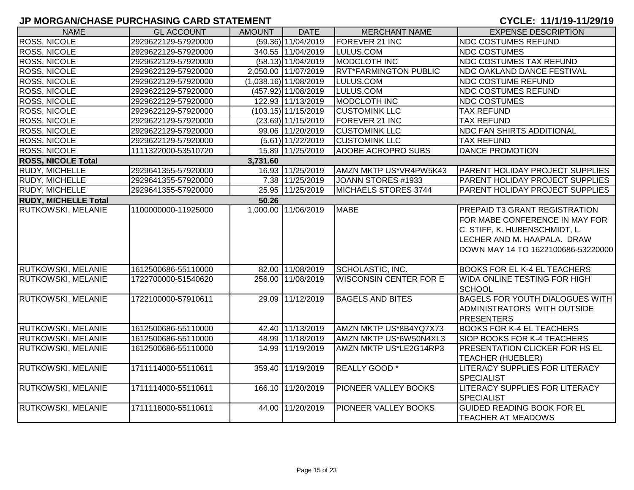| <b>NAME</b>                 | <b>GL ACCOUNT</b>   | <b>AMOUNT</b> | <b>DATE</b>             | <b>MERCHANT NAME</b>          | <b>EXPENSE DESCRIPTION</b>                                                                                                                                            |  |  |  |  |
|-----------------------------|---------------------|---------------|-------------------------|-------------------------------|-----------------------------------------------------------------------------------------------------------------------------------------------------------------------|--|--|--|--|
| ROSS, NICOLE                | 2929622129-57920000 |               | $(59.36)$ 11/04/2019    | FOREVER 21 INC                | <b>NDC COSTUMES REFUND</b>                                                                                                                                            |  |  |  |  |
| ROSS, NICOLE                | 2929622129-57920000 |               | 340.55 11/04/2019       | LULUS.COM                     | <b>NDC COSTUMES</b>                                                                                                                                                   |  |  |  |  |
| ROSS, NICOLE                | 2929622129-57920000 |               | $(58.13)$ 11/04/2019    | MODCLOTH INC                  | <b>NDC COSTUMES TAX REFUND</b>                                                                                                                                        |  |  |  |  |
| <b>ROSS, NICOLE</b>         | 2929622129-57920000 |               | 2,050.00 11/07/2019     | <b>RVT*FARMINGTON PUBLIC</b>  | <b>NDC OAKLAND DANCE FESTIVAL</b>                                                                                                                                     |  |  |  |  |
| ROSS, NICOLE                | 2929622129-57920000 |               | $(1,038.16)$ 11/08/2019 | LULUS.COM                     | <b>NDC COSTUME REFUND</b>                                                                                                                                             |  |  |  |  |
| ROSS, NICOLE                | 2929622129-57920000 |               | (457.92) 11/08/2019     | LULUS.COM                     | <b>NDC COSTUMES REFUND</b>                                                                                                                                            |  |  |  |  |
| ROSS, NICOLE                | 2929622129-57920000 |               | 122.93 11/13/2019       | <b>MODCLOTH INC</b>           | <b>NDC COSTUMES</b>                                                                                                                                                   |  |  |  |  |
| ROSS, NICOLE                | 2929622129-57920000 |               | $(103.15)$ 11/15/2019   | <b>CUSTOMINK LLC</b>          | <b>TAX REFUND</b>                                                                                                                                                     |  |  |  |  |
| ROSS, NICOLE                | 2929622129-57920000 |               | $(23.69)$ 11/15/2019    | FOREVER 21 INC                | <b>TAX REFUND</b>                                                                                                                                                     |  |  |  |  |
| <b>ROSS, NICOLE</b>         | 2929622129-57920000 |               | 99.06 11/20/2019        | <b>CUSTOMINK LLC</b>          | <b>NDC FAN SHIRTS ADDITIONAL</b>                                                                                                                                      |  |  |  |  |
| <b>ROSS, NICOLE</b>         | 2929622129-57920000 |               | $(5.61)$ 11/22/2019     | <b>CUSTOMINK LLC</b>          | <b>TAX REFUND</b>                                                                                                                                                     |  |  |  |  |
| ROSS, NICOLE                | 1111322000-53510720 |               | 15.89 11/25/2019        | <b>ADOBE ACROPRO SUBS</b>     | <b>DANCE PROMOTION</b>                                                                                                                                                |  |  |  |  |
| <b>ROSS, NICOLE Total</b>   |                     | 3,731.60      |                         |                               |                                                                                                                                                                       |  |  |  |  |
| RUDY, MICHELLE              | 2929641355-57920000 |               | 16.93 11/25/2019        | AMZN MKTP US*VR4PW5K43        | <b>PARENT HOLIDAY PROJECT SUPPLIES</b>                                                                                                                                |  |  |  |  |
| RUDY, MICHELLE              | 2929641355-57920000 |               | 7.38 11/25/2019         | JOANN STORES #1933            | PARENT HOLIDAY PROJECT SUPPLIES                                                                                                                                       |  |  |  |  |
| <b>RUDY, MICHELLE</b>       | 2929641355-57920000 |               | 25.95 11/25/2019        | MICHAELS STORES 3744          | PARENT HOLIDAY PROJECT SUPPLIES                                                                                                                                       |  |  |  |  |
| <b>RUDY, MICHELLE Total</b> | 50.26               |               |                         |                               |                                                                                                                                                                       |  |  |  |  |
| <b>RUTKOWSKI, MELANIE</b>   | 1100000000-11925000 |               | 1,000.00 11/06/2019     | <b>MABE</b>                   | PREPAID T3 GRANT REGISTRATION<br>FOR MABE CONFERENCE IN MAY FOR<br>C. STIFF, K. HUBENSCHMIDT, L.<br>LECHER AND M. HAAPALA. DRAW<br>DOWN MAY 14 TO 1622100686-53220000 |  |  |  |  |
| <b>RUTKOWSKI, MELANIE</b>   | 1612500686-55110000 |               | 82.00 11/08/2019        | <b>SCHOLASTIC, INC.</b>       | <b>BOOKS FOR EL K-4 EL TEACHERS</b>                                                                                                                                   |  |  |  |  |
| RUTKOWSKI, MELANIE          | 1722700000-51540620 |               | 256.00 11/08/2019       | <b>WISCONSIN CENTER FOR E</b> | WIDA ONLINE TESTING FOR HIGH<br><b>SCHOOL</b>                                                                                                                         |  |  |  |  |
| RUTKOWSKI, MELANIE          | 1722100000-57910611 |               | 29.09 11/12/2019        | <b>BAGELS AND BITES</b>       | <b>BAGELS FOR YOUTH DIALOGUES WITH</b><br>ADMINISTRATORS WITH OUTSIDE<br><b>PRESENTERS</b>                                                                            |  |  |  |  |
| <b>RUTKOWSKI, MELANIE</b>   | 1612500686-55110000 |               | 42.40 11/13/2019        | AMZN MKTP US*8B4YQ7X73        | <b>BOOKS FOR K-4 EL TEACHERS</b>                                                                                                                                      |  |  |  |  |
| RUTKOWSKI, MELANIE          | 1612500686-55110000 |               | 48.99 11/18/2019        | AMZN MKTP US*6W50N4XL3        | SIOP BOOKS FOR K-4 TEACHERS                                                                                                                                           |  |  |  |  |
| RUTKOWSKI, MELANIE          | 1612500686-55110000 |               | 14.99 11/19/2019        | AMZN MKTP US*LE2G14RP3        | PRESENTATION CLICKER FOR HS EL<br><b>TEACHER (HUEBLER)</b>                                                                                                            |  |  |  |  |
| RUTKOWSKI, MELANIE          | 1711114000-55110611 |               | 359.40 11/19/2019       | <b>REALLY GOOD</b> *          | LITERACY SUPPLIES FOR LITERACY<br><b>SPECIALIST</b>                                                                                                                   |  |  |  |  |
| <b>RUTKOWSKI, MELANIE</b>   | 1711114000-55110611 |               | 166.10 11/20/2019       | PIONEER VALLEY BOOKS          | LITERACY SUPPLIES FOR LITERACY<br><b>SPECIALIST</b>                                                                                                                   |  |  |  |  |
| RUTKOWSKI, MELANIE          | 1711118000-55110611 |               | 44.00 11/20/2019        | PIONEER VALLEY BOOKS          | <b>GUIDED READING BOOK FOR EL</b><br><b>TEACHER AT MEADOWS</b>                                                                                                        |  |  |  |  |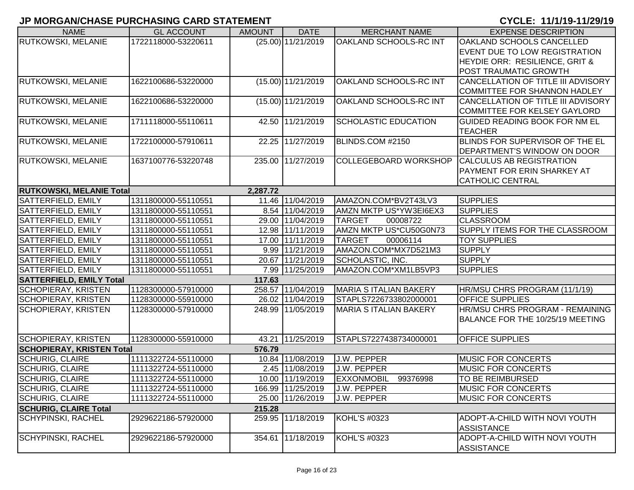| <b>NAME</b>                      | <b>GL ACCOUNT</b>                           | <b>AMOUNT</b> | <b>DATE</b>          | <b>MERCHANT NAME</b>          | <b>EXPENSE DESCRIPTION</b>                         |  |  |  |  |
|----------------------------------|---------------------------------------------|---------------|----------------------|-------------------------------|----------------------------------------------------|--|--|--|--|
| RUTKOWSKI, MELANIE               | 1722118000-53220611                         |               | $(25.00)$ 11/21/2019 | OAKLAND SCHOOLS-RC INT        | OAKLAND SCHOOLS CANCELLED                          |  |  |  |  |
|                                  |                                             |               |                      |                               | EVENT DUE TO LOW REGISTRATION                      |  |  |  |  |
|                                  |                                             |               |                      |                               | <b>HEYDIE ORR: RESILIENCE, GRIT &amp;</b>          |  |  |  |  |
|                                  |                                             |               |                      |                               | <b>POST TRAUMATIC GROWTH</b>                       |  |  |  |  |
| RUTKOWSKI, MELANIE               | 1622100686-53220000                         |               | $(15.00)$ 11/21/2019 | OAKLAND SCHOOLS-RC INT        | CANCELLATION OF TITLE III ADVISORY                 |  |  |  |  |
|                                  |                                             |               |                      |                               | <b>COMMITTEE FOR SHANNON HADLEY</b>                |  |  |  |  |
| RUTKOWSKI, MELANIE               | 1622100686-53220000                         |               | $(15.00)$ 11/21/2019 | OAKLAND SCHOOLS-RC INT        | CANCELLATION OF TITLE III ADVISORY                 |  |  |  |  |
|                                  |                                             |               |                      |                               | <b>COMMITTEE FOR KELSEY GAYLORD</b>                |  |  |  |  |
| RUTKOWSKI, MELANIE               | 1711118000-55110611                         |               | 42.50 11/21/2019     | <b>SCHOLASTIC EDUCATION</b>   | <b>GUIDED READING BOOK FOR NM EL</b>               |  |  |  |  |
|                                  |                                             |               |                      |                               | <b>TEACHER</b>                                     |  |  |  |  |
| <b>RUTKOWSKI, MELANIE</b>        | 1722100000-57910611                         |               | 22.25 11/27/2019     | BLINDS.COM #2150              | BLINDS FOR SUPERVISOR OF THE EL                    |  |  |  |  |
|                                  |                                             |               |                      |                               | DEPARTMENT'S WINDOW ON DOOR                        |  |  |  |  |
| RUTKOWSKI, MELANIE               | 1637100776-53220748                         |               | 235.00 11/27/2019    | COLLEGEBOARD WORKSHOP         | <b>CALCULUS AB REGISTRATION</b>                    |  |  |  |  |
|                                  |                                             |               |                      |                               | PAYMENT FOR ERIN SHARKEY AT                        |  |  |  |  |
|                                  |                                             |               |                      |                               | <b>CATHOLIC CENTRAL</b>                            |  |  |  |  |
|                                  | <b>RUTKOWSKI, MELANIE Total</b><br>2,287.72 |               |                      |                               |                                                    |  |  |  |  |
| SATTERFIELD, EMILY               | 1311800000-55110551                         |               | 11.46 11/04/2019     | AMAZON.COM*BV2T43LV3          | <b>SUPPLIES</b>                                    |  |  |  |  |
| SATTERFIELD, EMILY               | 1311800000-55110551                         |               | 8.54 11/04/2019      | AMZN MKTP US*YW3EI6EX3        | <b>SUPPLIES</b>                                    |  |  |  |  |
| SATTERFIELD, EMILY               | 1311800000-55110551                         |               | 29.00 11/04/2019     | <b>TARGET</b><br>00008722     | <b>CLASSROOM</b>                                   |  |  |  |  |
| SATTERFIELD, EMILY               | 1311800000-55110551                         |               | 12.98 11/11/2019     | AMZN MKTP US*CU50G0N73        | SUPPLY ITEMS FOR THE CLASSROOM                     |  |  |  |  |
| SATTERFIELD, EMILY               | 1311800000-55110551                         |               | 17.00 11/11/2019     | <b>TARGET</b><br>00006114     | <b>TOY SUPPLIES</b>                                |  |  |  |  |
| SATTERFIELD, EMILY               | 1311800000-55110551                         |               | 9.99 11/21/2019      | AMAZON.COM*MX7D521M3          | <b>SUPPLY</b>                                      |  |  |  |  |
| SATTERFIELD, EMILY               | 1311800000-55110551                         |               | 20.67 11/21/2019     | SCHOLASTIC, INC.              | <b>SUPPLY</b>                                      |  |  |  |  |
| SATTERFIELD, EMILY               | 1311800000-55110551                         |               | 7.99 11/25/2019      | AMAZON.COM*XM1LB5VP3          | <b>SUPPLIES</b>                                    |  |  |  |  |
| <b>SATTERFIELD, EMILY Total</b>  |                                             | 117.63        |                      |                               |                                                    |  |  |  |  |
| <b>SCHOPIERAY, KRISTEN</b>       | 1128300000-57910000                         |               | 258.57 11/04/2019    | <b>MARIA S ITALIAN BAKERY</b> | HR/MSU CHRS PROGRAM (11/1/19)                      |  |  |  |  |
| <b>SCHOPIERAY, KRISTEN</b>       | 1128300000-55910000                         |               | 26.02 11/04/2019     | STAPLS7226733802000001        | <b>OFFICE SUPPLIES</b>                             |  |  |  |  |
| <b>SCHOPIERAY, KRISTEN</b>       | 1128300000-57910000                         |               | 248.99 11/05/2019    | <b>MARIA S ITALIAN BAKERY</b> | HR/MSU CHRS PROGRAM - REMAINING                    |  |  |  |  |
|                                  |                                             |               |                      |                               | BALANCE FOR THE 10/25/19 MEETING                   |  |  |  |  |
|                                  |                                             |               |                      |                               |                                                    |  |  |  |  |
| <b>SCHOPIERAY, KRISTEN</b>       | 1128300000-55910000                         |               | 43.21 11/25/2019     | STAPLS7227438734000001        | <b>OFFICE SUPPLIES</b>                             |  |  |  |  |
| <b>SCHOPIERAY, KRISTEN Total</b> |                                             | 576.79        |                      |                               |                                                    |  |  |  |  |
| <b>SCHURIG, CLAIRE</b>           | 1111322724-55110000                         |               | 10.84 11/08/2019     | J.W. PEPPER                   | <b>MUSIC FOR CONCERTS</b>                          |  |  |  |  |
| <b>SCHURIG, CLAIRE</b>           | 1111322724-55110000                         |               | 2.45 11/08/2019      | J.W. PEPPER                   | <b>MUSIC FOR CONCERTS</b>                          |  |  |  |  |
| <b>SCHURIG, CLAIRE</b>           | 1111322724-55110000                         |               | 10.00 11/19/2019     | EXXONMOBIL 99376998           | TO BE REIMBURSED                                   |  |  |  |  |
| <b>SCHURIG, CLAIRE</b>           | 1111322724-55110000                         |               | 166.99 11/25/2019    | J.W. PEPPER                   | <b>MUSIC FOR CONCERTS</b>                          |  |  |  |  |
| <b>SCHURIG, CLAIRE</b>           | 1111322724-55110000                         |               | 25.00 11/26/2019     | J.W. PEPPER                   | <b>MUSIC FOR CONCERTS</b>                          |  |  |  |  |
| <b>SCHURIG, CLAIRE Total</b>     |                                             | 215.28        |                      |                               |                                                    |  |  |  |  |
| <b>SCHYPINSKI, RACHEL</b>        | 2929622186-57920000                         |               | 259.95 11/18/2019    | KOHL'S #0323                  | ADOPT-A-CHILD WITH NOVI YOUTH<br><b>ASSISTANCE</b> |  |  |  |  |
| <b>SCHYPINSKI, RACHEL</b>        | 2929622186-57920000                         |               | 354.61 11/18/2019    | KOHL'S #0323                  | ADOPT-A-CHILD WITH NOVI YOUTH<br><b>ASSISTANCE</b> |  |  |  |  |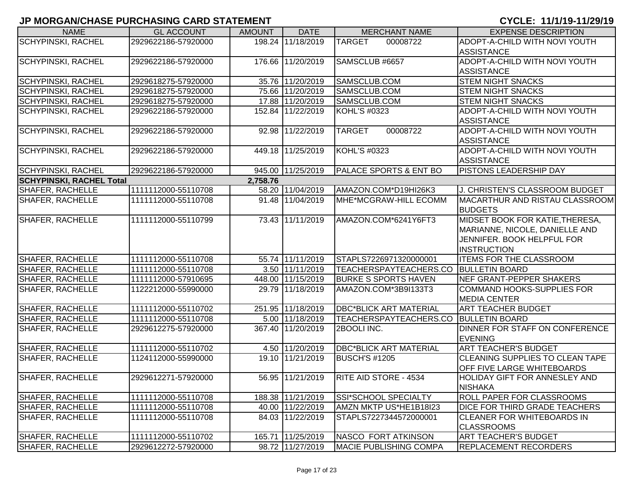| <b>NAME</b>                     | <b>GL ACCOUNT</b>   | <b>AMOUNT</b> | <b>DATE</b>       | <b>MERCHANT NAME</b>              | <b>EXPENSE DESCRIPTION</b>                         |
|---------------------------------|---------------------|---------------|-------------------|-----------------------------------|----------------------------------------------------|
| <b>SCHYPINSKI, RACHEL</b>       | 2929622186-57920000 |               | 198.24 11/18/2019 | <b>TARGET</b><br>00008722         | ADOPT-A-CHILD WITH NOVI YOUTH                      |
|                                 |                     |               |                   |                                   | <b>ASSISTANCE</b>                                  |
| <b>SCHYPINSKI, RACHEL</b>       | 2929622186-57920000 |               | 176.66 11/20/2019 | SAMSCLUB #6657                    | ADOPT-A-CHILD WITH NOVI YOUTH                      |
|                                 |                     |               |                   |                                   | <b>ASSISTANCE</b>                                  |
| SCHYPINSKI, RACHEL              | 2929618275-57920000 |               | 35.76 11/20/2019  | SAMSCLUB.COM                      | <b>STEM NIGHT SNACKS</b>                           |
| SCHYPINSKI, RACHEL              | 2929618275-57920000 |               | 75.66 11/20/2019  | SAMSCLUB.COM                      | <b>STEM NIGHT SNACKS</b>                           |
| <b>SCHYPINSKI, RACHEL</b>       | 2929618275-57920000 |               | 17.88 11/20/2019  | SAMSCLUB.COM                      | <b>STEM NIGHT SNACKS</b>                           |
| SCHYPINSKI, RACHEL              | 2929622186-57920000 |               | 152.84 11/22/2019 | KOHL'S #0323                      | ADOPT-A-CHILD WITH NOVI YOUTH<br><b>ASSISTANCE</b> |
| <b>SCHYPINSKI, RACHEL</b>       | 2929622186-57920000 |               | 92.98 11/22/2019  | 00008722<br><b>TARGET</b>         | ADOPT-A-CHILD WITH NOVI YOUTH                      |
|                                 |                     |               |                   |                                   | <b>ASSISTANCE</b>                                  |
| <b>SCHYPINSKI, RACHEL</b>       | 2929622186-57920000 |               | 449.18 11/25/2019 | <b>KOHL'S #0323</b>               | ADOPT-A-CHILD WITH NOVI YOUTH                      |
|                                 |                     |               |                   |                                   | <b>ASSISTANCE</b>                                  |
| <b>SCHYPINSKI, RACHEL</b>       | 2929622186-57920000 |               | 945.00 11/25/2019 | <b>PALACE SPORTS &amp; ENT BO</b> | PISTONS LEADERSHIP DAY                             |
| <b>SCHYPINSKI, RACHEL Total</b> |                     | 2,758.76      |                   |                                   |                                                    |
| SHAFER, RACHELLE                | 1111112000-55110708 |               | 58.20 11/04/2019  | AMAZON.COM*D19HI26K3              | J. CHRISTEN'S CLASSROOM BUDGET                     |
| SHAFER, RACHELLE                | 1111112000-55110708 |               | 91.48 11/04/2019  | MHE*MCGRAW-HILL ECOMM             | MACARTHUR AND RISTAU CLASSROOM                     |
|                                 |                     |               |                   |                                   | <b>BUDGETS</b>                                     |
| <b>SHAFER, RACHELLE</b>         | 1111112000-55110799 |               | 73.43 11/11/2019  | AMAZON.COM*6241Y6FT3              | MIDSET BOOK FOR KATIE, THERESA,                    |
|                                 |                     |               |                   |                                   | MARIANNE, NICOLE, DANIELLE AND                     |
|                                 |                     |               |                   |                                   | JENNIFER. BOOK HELPFUL FOR                         |
|                                 |                     |               |                   |                                   | <b>INSTRUCTION</b>                                 |
| SHAFER, RACHELLE                | 1111112000-55110708 |               | 55.74 11/11/2019  | STAPLS7226971320000001            | <b>ITEMS FOR THE CLASSROOM</b>                     |
| SHAFER, RACHELLE                | 1111112000-55110708 |               | 3.50 11/11/2019   | TEACHERSPAYTEACHERS.CO            | <b>BULLETIN BOARD</b>                              |
| SHAFER, RACHELLE                | 1111112000-57910695 |               | 448.00 11/15/2019 | <b>BURKE S SPORTS HAVEN</b>       | NEF GRANT-PEPPER SHAKERS                           |
| SHAFER, RACHELLE                | 1122212000-55990000 |               | 29.79 11/18/2019  | AMAZON.COM*3B9I133T3              | <b>COMMAND HOOKS-SUPPLIES FOR</b>                  |
|                                 |                     |               |                   |                                   | <b>MEDIA CENTER</b>                                |
| SHAFER, RACHELLE                | 1111112000-55110702 |               | 251.95 11/18/2019 | <b>DBC*BLICK ART MATERIAL</b>     | <b>ART TEACHER BUDGET</b>                          |
| SHAFER, RACHELLE                | 1111112000-55110708 |               | 5.00 11/18/2019   | TEACHERSPAYTEACHERS.CO            | <b>BULLETIN BOARD</b>                              |
| SHAFER, RACHELLE                | 2929612275-57920000 |               | 367.40 11/20/2019 | 2BOOLI INC.                       | DINNER FOR STAFF ON CONFERENCE<br><b>EVENING</b>   |
| SHAFER, RACHELLE                | 1111112000-55110702 |               | 4.50 11/20/2019   | <b>DBC*BLICK ART MATERIAL</b>     | <b>ART TEACHER'S BUDGET</b>                        |
| SHAFER, RACHELLE                | 1124112000-55990000 |               | 19.10 11/21/2019  | <b>BUSCH'S #1205</b>              | CLEANING SUPPLIES TO CLEAN TAPE                    |
|                                 |                     |               |                   |                                   | OFF FIVE LARGE WHITEBOARDS                         |
| SHAFER, RACHELLE                | 2929612271-57920000 |               | 56.95 11/21/2019  | <b>RITE AID STORE - 4534</b>      | HOLIDAY GIFT FOR ANNESLEY AND                      |
|                                 |                     |               |                   |                                   | <b>NISHAKA</b>                                     |
| SHAFER, RACHELLE                | 1111112000-55110708 |               | 188.38 11/21/2019 | SSI*SCHOOL SPECIALTY              | <b>ROLL PAPER FOR CLASSROOMS</b>                   |
| <b>SHAFER, RACHELLE</b>         | 1111112000-55110708 |               | 40.00 11/22/2019  | AMZN MKTP US*HE1B18I23            | <b>DICE FOR THIRD GRADE TEACHERS</b>               |
| SHAFER, RACHELLE                | 1111112000-55110708 |               | 84.03 11/22/2019  | STAPLS7227344572000001            | <b>CLEANER FOR WHITEBOARDS IN</b>                  |
|                                 |                     |               |                   |                                   | <b>CLASSROOMS</b>                                  |
| <b>SHAFER, RACHELLE</b>         | 1111112000-55110702 |               | 165.71 11/25/2019 | NASCO FORT ATKINSON               | <b>ART TEACHER'S BUDGET</b>                        |
| <b>SHAFER, RACHELLE</b>         | 2929612272-57920000 |               | 98.72 11/27/2019  | <b>MACIE PUBLISHING COMPA</b>     | <b>REPLACEMENT RECORDERS</b>                       |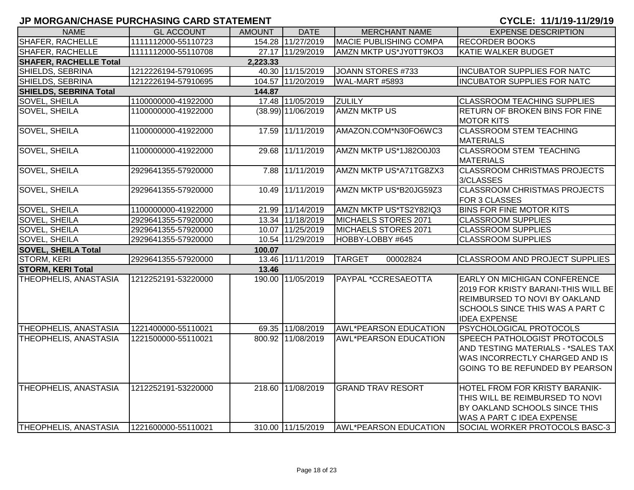| <b>NAME</b>                   | <b>GL ACCOUNT</b>   | <b>AMOUNT</b> | <b>DATE</b>          | <b>MERCHANT NAME</b>         | <b>EXPENSE DESCRIPTION</b>                                                                                                                                            |
|-------------------------------|---------------------|---------------|----------------------|------------------------------|-----------------------------------------------------------------------------------------------------------------------------------------------------------------------|
| SHAFER, RACHELLE              | 1111112000-55110723 |               | 154.28 11/27/2019    | MACIE PUBLISHING COMPA       | <b>RECORDER BOOKS</b>                                                                                                                                                 |
| SHAFER, RACHELLE              | 1111112000-55110708 |               | 27.17 11/29/2019     | AMZN MKTP US*JY0TT9KO3       | <b>KATIE WALKER BUDGET</b>                                                                                                                                            |
| <b>SHAFER, RACHELLE Total</b> |                     | 2,223.33      |                      |                              |                                                                                                                                                                       |
| SHIELDS, SEBRINA              | 1212226194-57910695 |               | 40.30 11/15/2019     | JOANN STORES #733            | <b>INCUBATOR SUPPLIES FOR NATC</b>                                                                                                                                    |
| SHIELDS, SEBRINA              | 1212226194-57910695 |               | 104.57 11/20/2019    | WAL-MART #5893               | <b>INCUBATOR SUPPLIES FOR NATC</b>                                                                                                                                    |
| <b>SHIELDS, SEBRINA Total</b> |                     | 144.87        |                      |                              |                                                                                                                                                                       |
| SOVEL, SHEILA                 | 1100000000-41922000 |               | 17.48 11/05/2019     | <b>ZULILY</b>                | <b>CLASSROOM TEACHING SUPPLIES</b>                                                                                                                                    |
| <b>SOVEL, SHEILA</b>          | 1100000000-41922000 |               | $(38.99)$ 11/06/2019 | <b>AMZN MKTP US</b>          | RETURN OF BROKEN BINS FOR FINE<br><b>MOTOR KITS</b>                                                                                                                   |
| SOVEL, SHEILA                 | 1100000000-41922000 |               | 17.59 11/11/2019     | AMAZON.COM*N30FO6WC3         | <b>CLASSROOM STEM TEACHING</b><br><b>MATERIALS</b>                                                                                                                    |
| <b>SOVEL, SHEILA</b>          | 1100000000-41922000 |               | 29.68 11/11/2019     | AMZN MKTP US*1J82O0J03       | <b>CLASSROOM STEM TEACHING</b><br><b>MATERIALS</b>                                                                                                                    |
| <b>SOVEL, SHEILA</b>          | 2929641355-57920000 |               | 7.88 11/11/2019      | AMZN MKTP US*A71TG8ZX3       | <b>CLASSROOM CHRISTMAS PROJECTS</b><br>3/CLASSES                                                                                                                      |
| <b>SOVEL, SHEILA</b>          | 2929641355-57920000 |               | 10.49 11/11/2019     | AMZN MKTP US*B20JG59Z3       | <b>CLASSROOM CHRISTMAS PROJECTS</b><br>FOR 3 CLASSES                                                                                                                  |
| SOVEL, SHEILA                 | 1100000000-41922000 |               | 21.99 11/14/2019     | AMZN MKTP US*TS2Y82IQ3       | BINS FOR FINE MOTOR KITS                                                                                                                                              |
| <b>SOVEL, SHEILA</b>          | 2929641355-57920000 |               | 13.34 11/18/2019     | MICHAELS STORES 2071         | <b>CLASSROOM SUPPLIES</b>                                                                                                                                             |
| SOVEL, SHEILA                 | 2929641355-57920000 |               | 10.07 11/25/2019     | MICHAELS STORES 2071         | <b>CLASSROOM SUPPLIES</b>                                                                                                                                             |
| <b>SOVEL, SHEILA</b>          | 2929641355-57920000 |               | 10.54 11/29/2019     | HOBBY-LOBBY #645             | <b>CLASSROOM SUPPLIES</b>                                                                                                                                             |
| <b>SOVEL, SHEILA Total</b>    |                     | 100.07        |                      |                              |                                                                                                                                                                       |
| <b>STORM, KERI</b>            | 2929641355-57920000 |               | 13.46 11/11/2019     | <b>TARGET</b><br>00002824    | <b>CLASSROOM AND PROJECT SUPPLIES</b>                                                                                                                                 |
| <b>STORM, KERI Total</b>      |                     | 13.46         |                      |                              |                                                                                                                                                                       |
| THEOPHELIS, ANASTASIA         | 1212252191-53220000 |               | 190.00 11/05/2019    | PAYPAL *CCRESAEOTTA          | <b>EARLY ON MICHIGAN CONFERENCE</b><br>2019 FOR KRISTY BARANI-THIS WILL BE<br>REIMBURSED TO NOVI BY OAKLAND<br>SCHOOLS SINCE THIS WAS A PART C<br><b>IDEA EXPENSE</b> |
| THEOPHELIS, ANASTASIA         | 1221400000-55110021 |               | 69.35 11/08/2019     | <b>AWL*PEARSON EDUCATION</b> | PSYCHOLOGICAL PROTOCOLS                                                                                                                                               |
| THEOPHELIS, ANASTASIA         | 1221500000-55110021 |               | 800.92 11/08/2019    | <b>AWL*PEARSON EDUCATION</b> | <b>SPEECH PATHOLOGIST PROTOCOLS</b><br>AND TESTING MATERIALS - *SALES TAX<br>WAS INCORRECTLY CHARGED AND IS<br>GOING TO BE REFUNDED BY PEARSON                        |
| THEOPHELIS, ANASTASIA         | 1212252191-53220000 |               | 218.60 11/08/2019    | <b>GRAND TRAV RESORT</b>     | HOTEL FROM FOR KRISTY BARANIK-<br>THIS WILL BE REIMBURSED TO NOVI<br>BY OAKLAND SCHOOLS SINCE THIS<br>WAS A PART C IDEA EXPENSE                                       |
| <b>THEOPHELIS, ANASTASIA</b>  | 1221600000-55110021 |               | 310.00 11/15/2019    | AWL*PEARSON EDUCATION        | SOCIAL WORKER PROTOCOLS BASC-3                                                                                                                                        |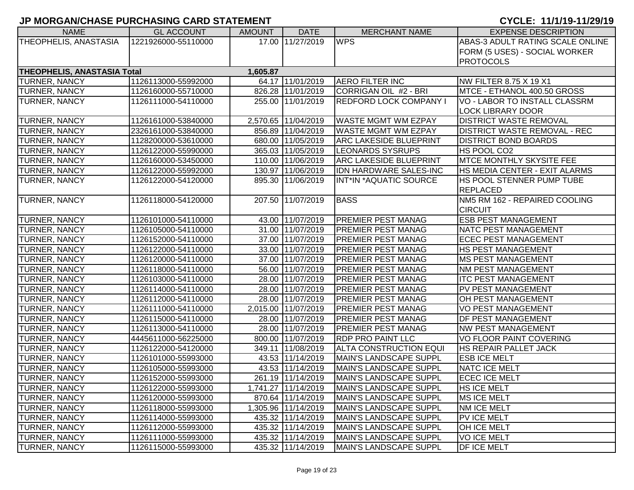| <b>NAME</b>                        | <b>GL ACCOUNT</b>   | <b>AMOUNT</b> | <b>DATE</b>         | <b>MERCHANT NAME</b>          | <b>EXPENSE DESCRIPTION</b>              |
|------------------------------------|---------------------|---------------|---------------------|-------------------------------|-----------------------------------------|
| THEOPHELIS, ANASTASIA              | 1221926000-55110000 |               | 17.00 11/27/2019    | <b>WPS</b>                    | <b>ABAS-3 ADULT RATING SCALE ONLINE</b> |
|                                    |                     |               |                     |                               | FORM (5 USES) - SOCIAL WORKER           |
|                                    |                     |               |                     |                               | <b>PROTOCOLS</b>                        |
| <b>THEOPHELIS, ANASTASIA Total</b> |                     | 1,605.87      |                     |                               |                                         |
| <b>TURNER, NANCY</b>               | 1126113000-55992000 |               | 64.17 11/01/2019    | <b>AERO FILTER INC</b>        | NW FILTER 8.75 X 19 X1                  |
| <b>TURNER, NANCY</b>               | 1126160000-55710000 |               | 826.28 11/01/2019   | CORRIGAN OIL #2 - BRI         | MTCE - ETHANOL 400.50 GROSS             |
| TURNER, NANCY                      | 1126111000-54110000 |               | 255.00 11/01/2019   | <b>REDFORD LOCK COMPANY I</b> | VO - LABOR TO INSTALL CLASSRM           |
|                                    |                     |               |                     |                               | <b>LOCK LIBRARY DOOR</b>                |
| <b>TURNER, NANCY</b>               | 1126161000-53840000 |               | 2,570.65 11/04/2019 | WASTE MGMT WM EZPAY           | <b>DISTRICT WASTE REMOVAL</b>           |
| <b>TURNER, NANCY</b>               | 2326161000-53840000 |               | 856.89 11/04/2019   | <b>WASTE MGMT WM EZPAY</b>    | <b>DISTRICT WASTE REMOVAL - REC</b>     |
| <b>TURNER, NANCY</b>               | 1128200000-53610000 |               | 680.00 11/05/2019   | <b>ARC LAKESIDE BLUEPRINT</b> | <b>IDISTRICT BOND BOARDS</b>            |
| <b>TURNER, NANCY</b>               | 1126122000-55990000 |               | 365.03 11/05/2019   | <b>LEONARDS SYSRUPS</b>       | HS POOL CO2                             |
| <b>TURNER, NANCY</b>               | 1126160000-53450000 |               | 110.00 11/06/2019   | <b>ARC LAKESIDE BLUEPRINT</b> | <b>MTCE MONTHLY SKYSITE FEE</b>         |
| <b>TURNER, NANCY</b>               | 1126122000-55992000 |               | 130.97 11/06/2019   | <b>IDN HARDWARE SALES-INC</b> | HS MEDIA CENTER - EXIT ALARMS           |
| TURNER, NANCY                      | 1126122000-54120000 |               | 895.30 11/06/2019   | INT*IN *AQUATIC SOURCE        | HS POOL STENNER PUMP TUBE               |
|                                    |                     |               |                     |                               | <b>REPLACED</b>                         |
| <b>TURNER, NANCY</b>               | 1126118000-54120000 |               | 207.50 11/07/2019   | <b>BASS</b>                   | NM5 RM 162 - REPAIRED COOLING           |
|                                    |                     |               |                     |                               | <b>CIRCUIT</b>                          |
| <b>TURNER, NANCY</b>               | 1126101000-54110000 |               | 43.00 11/07/2019    | <b>PREMIER PEST MANAG</b>     | <b>ESB PEST MANAGEMENT</b>              |
| <b>TURNER, NANCY</b>               | 1126105000-54110000 |               | 31.00 11/07/2019    | <b>PREMIER PEST MANAG</b>     | NATC PEST MANAGEMENT                    |
| <b>TURNER, NANCY</b>               | 1126152000-54110000 |               | 37.00 11/07/2019    | <b>PREMIER PEST MANAG</b>     | <b>ECEC PEST MANAGEMENT</b>             |
| <b>TURNER, NANCY</b>               | 1126122000-54110000 |               | 33.00 11/07/2019    | <b>PREMIER PEST MANAG</b>     | <b>HS PEST MANAGEMENT</b>               |
| <b>TURNER, NANCY</b>               | 1126120000-54110000 |               | 37.00 11/07/2019    | <b>PREMIER PEST MANAG</b>     | <b>IMS PEST MANAGEMENT</b>              |
| <b>TURNER, NANCY</b>               | 1126118000-54110000 |               | 56.00 11/07/2019    | <b>PREMIER PEST MANAG</b>     | <b>INM PEST MANAGEMENT</b>              |
| <b>TURNER, NANCY</b>               | 1126103000-54110000 |               | 28.00 11/07/2019    | <b>PREMIER PEST MANAG</b>     | <b>ITC PEST MANAGEMENT</b>              |
| <b>TURNER, NANCY</b>               | 1126114000-54110000 |               | 28.00 11/07/2019    | <b>PREMIER PEST MANAG</b>     | PV PEST MANAGEMENT                      |
| <b>TURNER, NANCY</b>               | 1126112000-54110000 |               | 28.00 11/07/2019    | <b>PREMIER PEST MANAG</b>     | <b>OH PEST MANAGEMENT</b>               |
| <b>TURNER, NANCY</b>               | 1126111000-54110000 |               | 2,015.00 11/07/2019 | <b>PREMIER PEST MANAG</b>     | <b>VO PEST MANAGEMENT</b>               |
| <b>TURNER, NANCY</b>               | 1126115000-54110000 |               | 28.00 11/07/2019    | <b>PREMIER PEST MANAG</b>     | <b>DF PEST MANAGEMENT</b>               |
| TURNER, NANCY                      | 1126113000-54110000 |               | 28.00 11/07/2019    | <b>PREMIER PEST MANAG</b>     | <b>NW PEST MANAGEMENT</b>               |
| TURNER, NANCY                      | 4445611000-56225000 |               | 800.00 11/07/2019   | <b>RDP PRO PAINT LLC</b>      | VO FLOOR PAINT COVERING                 |
| TURNER, NANCY                      | 1126122000-54120000 |               | 349.11 11/08/2019   | <b>ALTA CONSTRUCTION EQUI</b> | HS REPAIR PALLET JACK                   |
| TURNER, NANCY                      | 1126101000-55993000 |               | 43.53 11/14/2019    | <b>MAIN'S LANDSCAPE SUPPL</b> | <b>ESB ICE MELT</b>                     |
| TURNER, NANCY                      | 1126105000-55993000 |               | 43.53 11/14/2019    | <b>MAIN'S LANDSCAPE SUPPL</b> | <b>NATC ICE MELT</b>                    |
| <b>TURNER, NANCY</b>               | 1126152000-55993000 |               | 261.19 11/14/2019   | <b>MAIN'S LANDSCAPE SUPPL</b> | <b>ECEC ICE MELT</b>                    |
| <b>TURNER, NANCY</b>               | 1126122000-55993000 |               | 1,741.27 11/14/2019 | MAIN'S LANDSCAPE SUPPL        | <b>HS ICE MELT</b>                      |
| <b>TURNER, NANCY</b>               | 1126120000-55993000 |               | 870.64 11/14/2019   | MAIN'S LANDSCAPE SUPPL        | MS ICE MELT                             |
| <b>TURNER, NANCY</b>               | 1126118000-55993000 |               | 1,305.96 11/14/2019 | MAIN'S LANDSCAPE SUPPL        | <b>NM ICE MELT</b>                      |
| TURNER, NANCY                      | 1126114000-55993000 |               | 435.32 11/14/2019   | MAIN'S LANDSCAPE SUPPL        | PV ICE MELT                             |
| TURNER, NANCY                      | 1126112000-55993000 |               | 435.32 11/14/2019   | MAIN'S LANDSCAPE SUPPL        | <b>OH ICE MELT</b>                      |
| <b>TURNER, NANCY</b>               | 1126111000-55993000 |               | 435.32 11/14/2019   | MAIN'S LANDSCAPE SUPPL        | <b>VOICE MELT</b>                       |
| <b>TURNER, NANCY</b>               | 1126115000-55993000 |               | 435.32 11/14/2019   | MAIN'S LANDSCAPE SUPPL        | <b>DF ICE MELT</b>                      |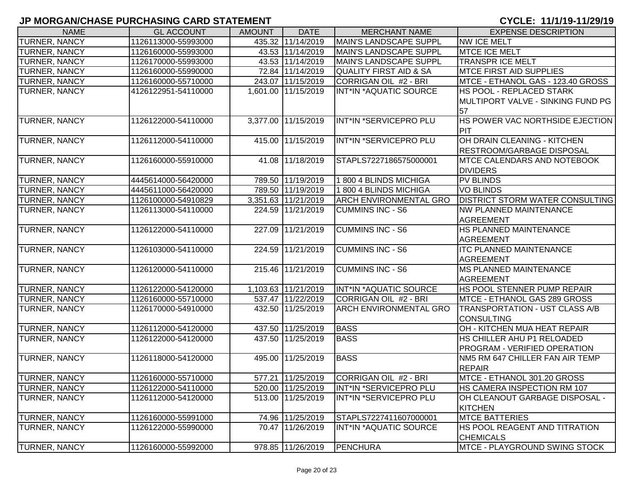| <b>NAME</b>          | <b>GL ACCOUNT</b>   | <b>AMOUNT</b> | <b>DATE</b>         | <b>MERCHANT NAME</b>              | <b>EXPENSE DESCRIPTION</b>             |
|----------------------|---------------------|---------------|---------------------|-----------------------------------|----------------------------------------|
| <b>TURNER, NANCY</b> | 1126113000-55993000 |               | 435.32 11/14/2019   | <b>MAIN'S LANDSCAPE SUPPL</b>     | <b>NW ICE MELT</b>                     |
| <b>TURNER, NANCY</b> | 1126160000-55993000 |               | 43.53 11/14/2019    | MAIN'S LANDSCAPE SUPPL            | <b>MTCE ICE MELT</b>                   |
| <b>TURNER, NANCY</b> | 1126170000-55993000 |               | 43.53 11/14/2019    | MAIN'S LANDSCAPE SUPPL            | <b>TRANSPR ICE MELT</b>                |
| <b>TURNER, NANCY</b> | 1126160000-55990000 |               | 72.84 11/14/2019    | <b>QUALITY FIRST AID &amp; SA</b> | <b>MTCE FIRST AID SUPPLIES</b>         |
| <b>TURNER, NANCY</b> | 1126160000-55710000 |               | 243.07 11/15/2019   | CORRIGAN OIL #2 - BRI             | MTCE - ETHANOL GAS - 123.40 GROSS      |
| <b>TURNER, NANCY</b> | 4126122951-54110000 |               | 1,601.00 11/15/2019 | INT*IN *AQUATIC SOURCE            | <b>HS POOL - REPLACED STARK</b>        |
|                      |                     |               |                     |                                   | MULTIPORT VALVE - SINKING FUND PG      |
|                      |                     |               |                     |                                   | 57                                     |
| <b>TURNER, NANCY</b> | 1126122000-54110000 |               | 3,377.00 11/15/2019 | INT*IN *SERVICEPRO PLU            | HS POWER VAC NORTHSIDE EJECTION        |
|                      |                     |               |                     |                                   | PIT                                    |
| <b>TURNER, NANCY</b> | 1126112000-54110000 |               | 415.00 11/15/2019   | INT*IN *SERVICEPRO PLU            | OH DRAIN CLEANING - KITCHEN            |
|                      |                     |               |                     |                                   | <b>RESTROOM/GARBAGE DISPOSAL</b>       |
| <b>TURNER, NANCY</b> | 1126160000-55910000 |               | 41.08 11/18/2019    | STAPLS7227186575000001            | <b>MTCE CALENDARS AND NOTEBOOK</b>     |
|                      |                     |               |                     |                                   | <b>DIVIDERS</b>                        |
| <b>TURNER, NANCY</b> | 4445614000-56420000 |               | 789.50 11/19/2019   | 1 800 4 BLINDS MICHIGA            | <b>PV BLINDS</b>                       |
| TURNER, NANCY        | 4445611000-56420000 |               | 789.50 11/19/2019   | 1 800 4 BLINDS MICHIGA            | <b>VO BLINDS</b>                       |
| <b>TURNER, NANCY</b> | 1126100000-54910829 |               | 3,351.63 11/21/2019 | <b>ARCH ENVIRONMENTAL GRO</b>     | <b>DISTRICT STORM WATER CONSULTING</b> |
| <b>TURNER, NANCY</b> | 1126113000-54110000 |               | 224.59 11/21/2019   | <b>CUMMINS INC - S6</b>           | <b>NW PLANNED MAINTENANCE</b>          |
|                      |                     |               |                     |                                   | <b>AGREEMENT</b>                       |
| <b>TURNER, NANCY</b> | 1126122000-54110000 |               | 227.09 11/21/2019   | <b>CUMMINS INC - S6</b>           | <b>HS PLANNED MAINTENANCE</b>          |
|                      |                     |               |                     |                                   | AGREEMENT                              |
| TURNER, NANCY        | 1126103000-54110000 |               | 224.59 11/21/2019   | <b>CUMMINS INC - S6</b>           | <b>ITC PLANNED MAINTENANCE</b>         |
|                      |                     |               |                     |                                   | <b>AGREEMENT</b>                       |
| TURNER, NANCY        | 1126120000-54110000 |               | 215.46 11/21/2019   | <b>CUMMINS INC - S6</b>           | <b>MS PLANNED MAINTENANCE</b>          |
|                      |                     |               |                     |                                   | <b>AGREEMENT</b>                       |
| <b>TURNER, NANCY</b> | 1126122000-54120000 |               | 1,103.63 11/21/2019 | INT*IN *AQUATIC SOURCE            | HS POOL STENNER PUMP REPAIR            |
| <b>TURNER, NANCY</b> | 1126160000-55710000 |               | 537.47 11/22/2019   | CORRIGAN OIL #2 - BRI             | MTCE - ETHANOL GAS 289 GROSS           |
| TURNER, NANCY        | 1126170000-54910000 |               | 432.50 11/25/2019   | <b>ARCH ENVIRONMENTAL GRO</b>     | TRANSPORTATION - UST CLASS A/B         |
|                      |                     |               |                     |                                   | <b>CONSULTING</b>                      |
| <b>TURNER, NANCY</b> | 1126112000-54120000 |               | 437.50 11/25/2019   | <b>BASS</b>                       | OH - KITCHEN MUA HEAT REPAIR           |
| <b>TURNER, NANCY</b> | 1126122000-54120000 |               | 437.50 11/25/2019   | <b>BASS</b>                       | HS CHILLER AHU P1 RELOADED             |
|                      |                     |               |                     |                                   | <b>PROGRAM - VERIFIED OPERATION</b>    |
| TURNER, NANCY        | 1126118000-54120000 |               | 495.00 11/25/2019   | <b>BASS</b>                       | NM5 RM 647 CHILLER FAN AIR TEMP        |
|                      |                     |               |                     |                                   | <b>REPAIR</b>                          |
| <b>TURNER, NANCY</b> | 1126160000-55710000 |               | 577.21 11/25/2019   | CORRIGAN OIL #2 - BRI             | MTCE - ETHANOL 301.20 GROSS            |
| <b>TURNER, NANCY</b> | 1126122000-54110000 |               | 520.00 11/25/2019   | INT*IN *SERVICEPRO PLU            | <b>HS CAMERA INSPECTION RM 107</b>     |
| <b>TURNER, NANCY</b> | 1126112000-54120000 |               | 513.00 11/25/2019   | INT*IN *SERVICEPRO PLU            | OH CLEANOUT GARBAGE DISPOSAL -         |
|                      |                     |               |                     |                                   | <b>KITCHEN</b>                         |
| <b>TURNER, NANCY</b> | 1126160000-55991000 |               | 74.96 11/25/2019    | STAPLS7227411607000001            | <b>MTCE BATTERIES</b>                  |
| <b>TURNER, NANCY</b> | 1126122000-55990000 |               | 70.47 11/26/2019    | INT*IN *AQUATIC SOURCE            | HS POOL REAGENT AND TITRATION          |
|                      |                     |               |                     |                                   | <b>CHEMICALS</b>                       |
| <b>TURNER, NANCY</b> | 1126160000-55992000 |               | 978.85 11/26/2019   | PENCHURA                          | MTCE - PLAYGROUND SWING STOCK          |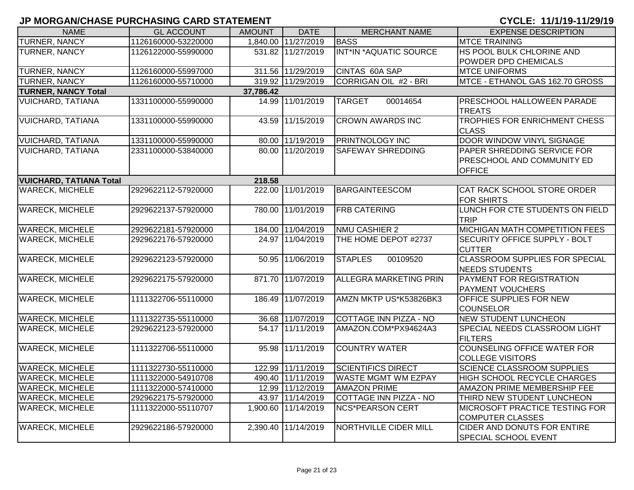| <b>NAME</b>                    | <b>GL ACCOUNT</b>   | <b>AMOUNT</b> | <b>DATE</b>         | <b>MERCHANT NAME</b>          | <b>EXPENSE DESCRIPTION</b>                                                 |
|--------------------------------|---------------------|---------------|---------------------|-------------------------------|----------------------------------------------------------------------------|
| <b>TURNER, NANCY</b>           | 1126160000-53220000 |               | 1,840.00 11/27/2019 | <b>BASS</b>                   | <b>MTCE TRAINING</b>                                                       |
| TURNER, NANCY                  | 1126122000-55990000 |               | 531.82 11/27/2019   | INT*IN *AQUATIC SOURCE        | HS POOL BULK CHLORINE AND                                                  |
|                                |                     |               |                     |                               | POWDER DPD CHEMICALS                                                       |
| TURNER, NANCY                  | 1126160000-55997000 |               | 311.56 11/29/2019   | CINTAS 60A SAP                | <b>MTCE UNIFORMS</b>                                                       |
| TURNER, NANCY                  | 1126160000-55710000 |               | 319.92 11/29/2019   | CORRIGAN OIL #2 - BRI         | MTCE - ETHANOL GAS 162.70 GROSS                                            |
| <b>TURNER, NANCY Total</b>     |                     | 37,786.42     |                     |                               |                                                                            |
| <b>VUICHARD, TATIANA</b>       | 1331100000-55990000 |               | 14.99 11/01/2019    | <b>TARGET</b><br>00014654     | <b>PRESCHOOL HALLOWEEN PARADE</b><br><b>TREATS</b>                         |
| <b>VUICHARD, TATIANA</b>       | 1331100000-55990000 |               | 43.59 11/15/2019    | <b>CROWN AWARDS INC</b>       | TROPHIES FOR ENRICHMENT CHESS<br><b>CLASS</b>                              |
| <b>VUICHARD, TATIANA</b>       | 1331100000-55990000 |               | 80.00 11/19/2019    | <b>PRINTNOLOGY INC</b>        | DOOR WINDOW VINYL SIGNAGE                                                  |
| VUICHARD, TATIANA              | 2331100000-53840000 |               | 80.00 11/20/2019    | SAFEWAY SHREDDING             | PAPER SHREDDING SERVICE FOR<br>PRESCHOOL AND COMMUNITY ED<br><b>OFFICE</b> |
| <b>VUICHARD, TATIANA Total</b> |                     | 218.58        |                     |                               |                                                                            |
| <b>WARECK, MICHELE</b>         | 2929622112-57920000 |               | 222.00 11/01/2019   | <b>BARGAINTEESCOM</b>         | CAT RACK SCHOOL STORE ORDER<br><b>FOR SHIRTS</b>                           |
| <b>WARECK, MICHELE</b>         | 2929622137-57920000 |               | 780.00 11/01/2019   | <b>FRB CATERING</b>           | LUNCH FOR CTE STUDENTS ON FIELD<br><b>TRIP</b>                             |
| <b>WARECK, MICHELE</b>         | 2929622181-57920000 |               | 184.00 11/04/2019   | NMU CASHIER 2                 | MICHIGAN MATH COMPETITION FEES                                             |
| <b>WARECK, MICHELE</b>         | 2929622176-57920000 |               | 24.97 11/04/2019    | THE HOME DEPOT #2737          | SECURITY OFFICE SUPPLY - BOLT<br><b>CUTTER</b>                             |
| <b>WARECK, MICHELE</b>         | 2929622123-57920000 |               | 50.95 11/06/2019    | <b>STAPLES</b><br>00109520    | <b>CLASSROOM SUPPLIES FOR SPECIAL</b><br><b>NEEDS STUDENTS</b>             |
| <b>WARECK, MICHELE</b>         | 2929622175-57920000 |               | 871.70 11/07/2019   | <b>ALLEGRA MARKETING PRIN</b> | PAYMENT FOR REGISTRATION<br><b>PAYMENT VOUCHERS</b>                        |
| <b>WARECK, MICHELE</b>         | 1111322706-55110000 |               | 186.49 11/07/2019   | AMZN MKTP US*K53826BK3        | OFFICE SUPPLIES FOR NEW<br><b>COUNSELOR</b>                                |
| <b>WARECK, MICHELE</b>         | 1111322735-55110000 |               | 36.68 11/07/2019    | COTTAGE INN PIZZA - NO        | <b>NEW STUDENT LUNCHEON</b>                                                |
| <b>WARECK, MICHELE</b>         | 2929622123-57920000 |               | 54.17 11/11/2019    | AMAZON.COM*PX94624A3          | SPECIAL NEEDS CLASSROOM LIGHT<br><b>FILTERS</b>                            |
| <b>WARECK, MICHELE</b>         | 1111322706-55110000 |               | 95.98 11/11/2019    | <b>COUNTRY WATER</b>          | <b>COUNSELING OFFICE WATER FOR</b><br><b>COLLEGE VISITORS</b>              |
| <b>WARECK, MICHELE</b>         | 1111322730-55110000 |               | 122.99 11/11/2019   | <b>SCIENTIFICS DIRECT</b>     | <b>SCIENCE CLASSROOM SUPPLIES</b>                                          |
| <b>WARECK, MICHELE</b>         | 1111322000-54910708 |               | 490.40 11/11/2019   | <b>WASTE MGMT WM EZPAY</b>    | <b>HIGH SCHOOL RECYCLE CHARGES</b>                                         |
| <b>WARECK, MICHELE</b>         | 1111322000-57410000 |               | 12.99 11/12/2019    | <b>AMAZON PRIME</b>           | AMAZON PRIME MEMBERSHIP FEE                                                |
| <b>WARECK, MICHELE</b>         | 2929622175-57920000 |               | 43.97 11/14/2019    | COTTAGE INN PIZZA - NO        | THIRD NEW STUDENT LUNCHEON                                                 |
| <b>WARECK, MICHELE</b>         | 1111322000-55110707 |               | 1,900.60 11/14/2019 | <b>NCS*PEARSON CERT</b>       | <b>MICROSOFT PRACTICE TESTING FOR</b><br><b>COMPUTER CLASSES</b>           |
| <b>WARECK, MICHELE</b>         | 2929622186-57920000 |               | 2,390.40 11/14/2019 | NORTHVILLE CIDER MILL         | CIDER AND DONUTS FOR ENTIRE<br>SPECIAL SCHOOL EVENT                        |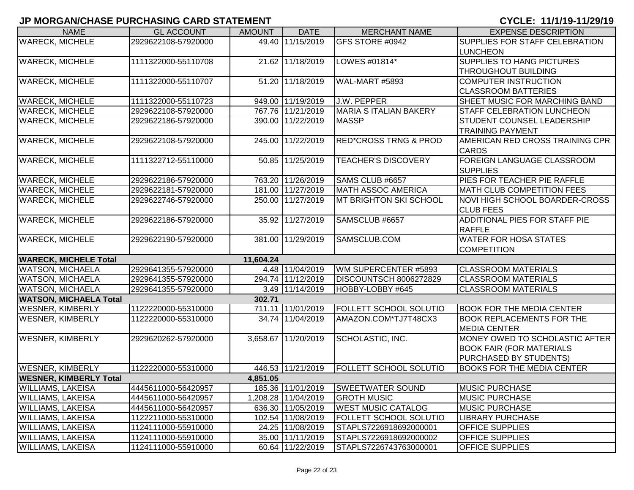| <b>NAME</b>                   | <b>GL ACCOUNT</b>   | <b>AMOUNT</b> | <b>DATE</b>         | <b>MERCHANT NAME</b>             | <b>EXPENSE DESCRIPTION</b>             |
|-------------------------------|---------------------|---------------|---------------------|----------------------------------|----------------------------------------|
| <b>WARECK, MICHELE</b>        | 2929622108-57920000 |               | 49.40 11/15/2019    | GFS STORE #0942                  | SUPPLIES FOR STAFF CELEBRATION         |
|                               |                     |               |                     |                                  | <b>LUNCHEON</b>                        |
| <b>WARECK, MICHELE</b>        | 1111322000-55110708 |               | 21.62 11/18/2019    | LOWES #01814*                    | <b>SUPPLIES TO HANG PICTURES</b>       |
|                               |                     |               |                     |                                  | <b>THROUGHOUT BUILDING</b>             |
| <b>WARECK, MICHELE</b>        | 1111322000-55110707 |               | 51.20 11/18/2019    | <b>WAL-MART #5893</b>            | COMPUTER INSTRUCTION                   |
|                               |                     |               |                     |                                  | <b>CLASSROOM BATTERIES</b>             |
| <b>WARECK, MICHELE</b>        | 1111322000-55110723 |               | 949.00 11/19/2019   | J.W. PEPPER                      | SHEET MUSIC FOR MARCHING BAND          |
| <b>WARECK, MICHELE</b>        | 2929622108-57920000 |               | 767.76 11/21/2019   | MARIA S ITALIAN BAKERY           | <b>STAFF CELEBRATION LUNCHEON</b>      |
| <b>WARECK, MICHELE</b>        | 2929622186-57920000 |               | 390.00 11/22/2019   | <b>MASSP</b>                     | <b>STUDENT COUNSEL LEADERSHIP</b>      |
|                               |                     |               |                     |                                  | <b>TRAINING PAYMENT</b>                |
| <b>WARECK, MICHELE</b>        | 2929622108-57920000 |               | 245.00 11/22/2019   | <b>RED*CROSS TRNG &amp; PROD</b> | <b>AMERICAN RED CROSS TRAINING CPR</b> |
|                               |                     |               |                     |                                  | <b>CARDS</b>                           |
| <b>WARECK, MICHELE</b>        | 1111322712-55110000 |               | 50.85 11/25/2019    | <b>TEACHER'S DISCOVERY</b>       | FOREIGN LANGUAGE CLASSROOM             |
|                               |                     |               |                     |                                  | <b>SUPPLIES</b>                        |
| <b>WARECK, MICHELE</b>        | 2929622186-57920000 |               | 763.20 11/26/2019   | SAMS CLUB #6657                  | PIES FOR TEACHER PIE RAFFLE            |
| <b>WARECK, MICHELE</b>        | 2929622181-57920000 |               | 181.00 11/27/2019   | <b>MATH ASSOC AMERICA</b>        | <b>MATH CLUB COMPETITION FEES</b>      |
| <b>WARECK, MICHELE</b>        | 2929622746-57920000 |               | 250.00 11/27/2019   | <b>MT BRIGHTON SKI SCHOOL</b>    | NOVI HIGH SCHOOL BOARDER-CROSS         |
|                               |                     |               |                     |                                  | <b>CLUB FEES</b>                       |
| <b>WARECK, MICHELE</b>        | 2929622186-57920000 |               | 35.92 11/27/2019    | SAMSCLUB #6657                   | <b>ADDITIONAL PIES FOR STAFF PIE</b>   |
|                               |                     |               |                     |                                  | <b>RAFFLE</b>                          |
| <b>WARECK, MICHELE</b>        | 2929622190-57920000 |               | 381.00 11/29/2019   | SAMSCLUB.COM                     | <b>WATER FOR HOSA STATES</b>           |
|                               |                     |               |                     |                                  | <b>COMPETITION</b>                     |
| <b>WARECK, MICHELE Total</b>  |                     | 11,604.24     |                     |                                  |                                        |
| <b>WATSON, MICHAELA</b>       | 2929641355-57920000 |               | 4.48 11/04/2019     | WM SUPERCENTER #5893             | <b>CLASSROOM MATERIALS</b>             |
| <b>WATSON, MICHAELA</b>       | 2929641355-57920000 |               | 294.74 11/12/2019   | DISCOUNTSCH 8006272829           | <b>CLASSROOM MATERIALS</b>             |
| <b>WATSON, MICHAELA</b>       | 2929641355-57920000 |               | 3.49 11/14/2019     | HOBBY-LOBBY #645                 | <b>CLASSROOM MATERIALS</b>             |
| <b>WATSON, MICHAELA Total</b> |                     | 302.71        |                     |                                  |                                        |
| <b>WESNER, KIMBERLY</b>       | 1122220000-55310000 |               | 711.11 11/01/2019   | <b>FOLLETT SCHOOL SOLUTIO</b>    | <b>BOOK FOR THE MEDIA CENTER</b>       |
| <b>WESNER, KIMBERLY</b>       | 1122220000-55310000 |               | 34.74 11/04/2019    | AMAZON.COM*TJ7T48CX3             | <b>BOOK REPLACEMENTS FOR THE</b>       |
|                               |                     |               |                     |                                  | <b>MEDIA CENTER</b>                    |
| <b>WESNER, KIMBERLY</b>       | 2929620262-57920000 |               | 3,658.67 11/20/2019 | SCHOLASTIC, INC.                 | MONEY OWED TO SCHOLASTIC AFTER         |
|                               |                     |               |                     |                                  | <b>BOOK FAIR (FOR MATERIALS</b>        |
|                               |                     |               |                     |                                  | PURCHASED BY STUDENTS)                 |
| <b>WESNER, KIMBERLY</b>       | 1122220000-55310000 |               | 446.53 11/21/2019   | <b>FOLLETT SCHOOL SOLUTIO</b>    | <b>BOOKS FOR THE MEDIA CENTER</b>      |
| <b>WESNER, KIMBERLY Total</b> |                     | 4,851.05      |                     |                                  |                                        |
| <b>WILLIAMS, LAKEISA</b>      | 4445611000-56420957 |               | 185.36 11/01/2019   | <b>SWEETWATER SOUND</b>          | <b>MUSIC PURCHASE</b>                  |
| <b>WILLIAMS, LAKEISA</b>      | 4445611000-56420957 |               | 1,208.28 11/04/2019 | <b>GROTH MUSIC</b>               | <b>MUSIC PURCHASE</b>                  |
| <b>WILLIAMS, LAKEISA</b>      | 4445611000-56420957 |               | 636.30 11/05/2019   | <b>WEST MUSIC CATALOG</b>        | <b>MUSIC PURCHASE</b>                  |
| <b>WILLIAMS, LAKEISA</b>      | 1122211000-55310000 |               | 102.54 11/08/2019   | <b>FOLLETT SCHOOL SOLUTIO</b>    | <b>LIBRARY PURCHASE</b>                |
| <b>WILLIAMS, LAKEISA</b>      | 1124111000-55910000 |               | 24.25 11/08/2019    | STAPLS7226918692000001           | <b>OFFICE SUPPLIES</b>                 |
| <b>WILLIAMS, LAKEISA</b>      | 1124111000-55910000 |               | 35.00 11/11/2019    | STAPLS7226918692000002           | <b>OFFICE SUPPLIES</b>                 |
| <b>WILLIAMS, LAKEISA</b>      | 1124111000-55910000 |               | 60.64 11/22/2019    | STAPLS7226743763000001           | <b>OFFICE SUPPLIES</b>                 |